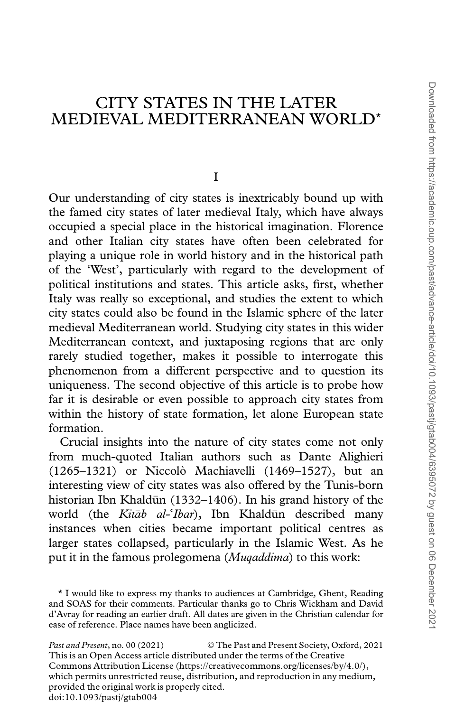# CITY STATES IN THE LATER MEDIEVAL MEDITERRANEAN WORLD\*

I

Our understanding of city states is inextricably bound up with the famed city states of later medieval Italy, which have always occupied a special place in the historical imagination. Florence and other Italian city states have often been celebrated for playing a unique role in world history and in the historical path of the 'West', particularly with regard to the development of political institutions and states. This article asks, first, whether Italy was really so exceptional, and studies the extent to which city states could also be found in the Islamic sphere of the later medieval Mediterranean world. Studying city states in this wider Mediterranean context, and juxtaposing regions that are only rarely studied together, makes it possible to interrogate this phenomenon from a different perspective and to question its uniqueness. The second objective of this article is to probe how far it is desirable or even possible to approach city states from within the history of state formation, let alone European state formation.

Crucial insights into the nature of city states come not only from much-quoted Italian authors such as Dante Alighieri (1265–1321) or Niccolo` Machiavelli (1469–1527), but an interesting view of city states was also offered by the Tunis-born historian Ibn Khaldūn (1332–1406). In his grand history of the world (the *Kitāb al* $i$ Ibar), Ibn Khaldun described many became important political centres as instances when cities became important political centres as larger states collapsed, particularly in the Islamic West. As he put it in the famous prolegomena (Muqaddima) to this work:

Past and Present, no. 00 (2021) © The Past and Present Society, Oxford, 2021 This is an Open Access article distributed under the terms of the Creative Commons Attribution License (https://creativecommons.org/licenses/by/4.0/), which permits unrestricted reuse, distribution, and reproduction in any medium, provided the original work is properly cited. doi:10.1093/pastj/gtab004

<sup>\*</sup> I would like to express my thanks to audiences at Cambridge, Ghent, Reading and SOAS for their comments. Particular thanks go to Chris Wickham and David d'Avray for reading an earlier draft. All dates are given in the Christian calendar for ease of reference. Place names have been anglicized.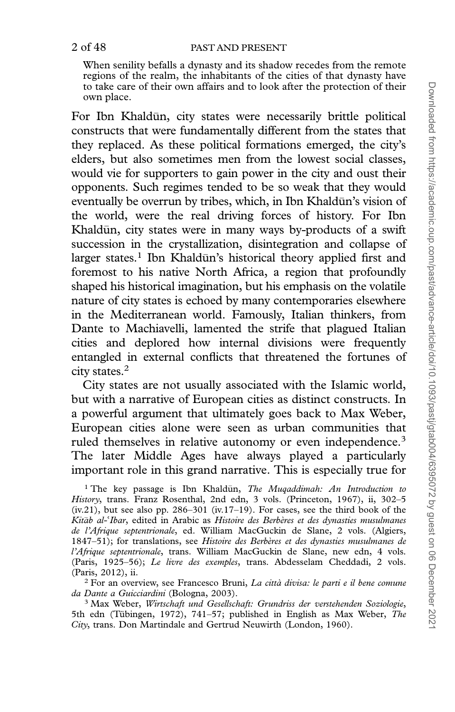#### 2 of 48 PAST AND PRESENT

When senility befalls a dynasty and its shadow recedes from the remote regions of the realm, the inhabitants of the cities of that dynasty have to take care of their own affairs and to look after the protection of their own place.

For Ibn Khaldūn, city states were necessarily brittle political constructs that were fundamentally different from the states that they replaced. As these political formations emerged, the city's elders, but also sometimes men from the lowest social classes, would vie for supporters to gain power in the city and oust their opponents. Such regimes tended to be so weak that they would eventually be overrun by tribes, which, in Ibn Khaldūn's vision of the world, were the real driving forces of history. For Ibn Khaldūn, city states were in many ways by-products of a swift succession in the crystallization, disintegration and collapse of larger states.<sup>1</sup> Ibn Khaldun's historical theory applied first and foremost to his native North Africa, a region that profoundly shaped his historical imagination, but his emphasis on the volatile nature of city states is echoed by many contemporaries elsewhere in the Mediterranean world. Famously, Italian thinkers, from Dante to Machiavelli, lamented the strife that plagued Italian cities and deplored how internal divisions were frequently entangled in external conflicts that threatened the fortunes of city states.2

City states are not usually associated with the Islamic world, but with a narrative of European cities as distinct constructs. In a powerful argument that ultimately goes back to Max Weber, European cities alone were seen as urban communities that ruled themselves in relative autonomy or even independence.<sup>3</sup> The later Middle Ages have always played a particularly important role in this grand narrative. This is especially true for

<sup>1</sup> The key passage is Ibn Khaldūn, The Muqaddimah: An Introduction to History, trans. Franz Rosenthal, 2nd edn, 3 vols. (Princeton, 1967), ii, 302–5  $(iv.21)$ , but see also pp. 286–301  $(iv.17-19)$ . For cases, see the third book of the Kitāb al-Kitāb al-'Ibar, edited in Arabic as Histoire des Berbères et des dynasties musulmanes<br>de l'Afrique septentrionale, ed. William MacGuckin de Slane, 2 vols. (Algiers, 1847–51); for translations, see Histoire des Berbères et des dynasties musulmanes de l'Afrique septentrionale, trans. William MacGuckin de Slane, new edn, 4 vols. (Paris, 1925–56); Le livre des exemples, trans. Abdesselam Cheddadi, 2 vols. (Paris, 2012), ii.

<sup>2</sup> For an overview, see Francesco Bruni, La città divisa: le parti e il bene comune da Dante a Guicciardini (Bologna, 2003).

<sup>3</sup> Max Weber, Wirtschaft und Gesellschaft: Grundriss der verstehenden Soziologie, 5th edn (Tübingen, 1972), 741–57; published in English as Max Weber, The City, trans. Don Martindale and Gertrud Neuwirth (London, 1960).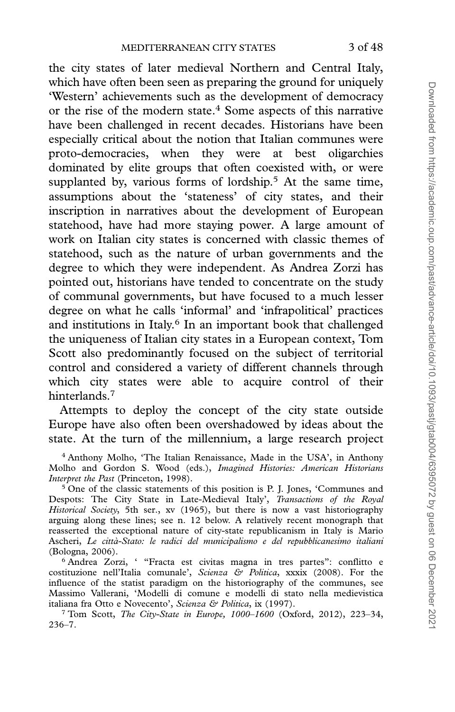the city states of later medieval Northern and Central Italy, which have often been seen as preparing the ground for uniquely 'Western' achievements such as the development of democracy or the rise of the modern state.<sup>4</sup> Some aspects of this narrative have been challenged in recent decades. Historians have been especially critical about the notion that Italian communes were proto-democracies, when they were at best oligarchies dominated by elite groups that often coexisted with, or were supplanted by, various forms of lordship.<sup>5</sup> At the same time, assumptions about the 'stateness' of city states, and their inscription in narratives about the development of European statehood, have had more staying power. A large amount of work on Italian city states is concerned with classic themes of statehood, such as the nature of urban governments and the degree to which they were independent. As Andrea Zorzi has pointed out, historians have tended to concentrate on the study of communal governments, but have focused to a much lesser degree on what he calls 'informal' and 'infrapolitical' practices and institutions in Italy.<sup>6</sup> In an important book that challenged the uniqueness of Italian city states in a European context, Tom Scott also predominantly focused on the subject of territorial control and considered a variety of different channels through which city states were able to acquire control of their hinterlands.<sup>7</sup>

Attempts to deploy the concept of the city state outside Europe have also often been overshadowed by ideas about the state. At the turn of the millennium, a large research project

<sup>6</sup> Andrea Zorzi, ' "Fracta est civitas magna in tres partes": conflitto e costituzione nell'Italia comunale', Scienza & Politica, xxxix (2008). For the influence of the statist paradigm on the historiography of the communes, see Massimo Vallerani, 'Modelli di comune e modelli di stato nella medievistica italiana fra Otto e Novecento', Scienza & Politica, ix (1997).

<sup>7</sup> Tom Scott, The City-State in Europe, 1000–1600 (Oxford, 2012), 223–34, 236–7.

<sup>4</sup> Anthony Molho, 'The Italian Renaissance, Made in the USA', in Anthony Molho and Gordon S. Wood (eds.), Imagined Histories: American Historians Interpret the Past (Princeton, 1998).

<sup>&</sup>lt;sup>5</sup> One of the classic statements of this position is P. J. Jones, 'Communes and Despots: The City State in Late-Medieval Italy', Transactions of the Royal Historical Society, 5th ser., xv (1965), but there is now a vast historiography arguing along these lines; see n. 12 below. A relatively recent monograph that reasserted the exceptional nature of city-state republicanism in Italy is Mario Ascheri, Le citta`-Stato: le radici del municipalismo e del repubblicanesimo italiani (Bologna, 2006).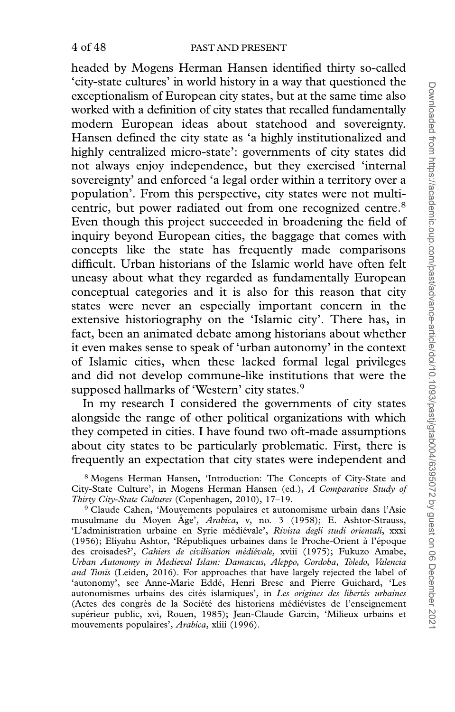headed by Mogens Herman Hansen identified thirty so-called 'city-state cultures' in world history in a way that questioned the exceptionalism of European city states, but at the same time also worked with a definition of city states that recalled fundamentally modern European ideas about statehood and sovereignty. Hansen defined the city state as 'a highly institutionalized and highly centralized micro-state': governments of city states did not always enjoy independence, but they exercised 'internal sovereignty' and enforced 'a legal order within a territory over a population'. From this perspective, city states were not multicentric, but power radiated out from one recognized centre.<sup>8</sup> Even though this project succeeded in broadening the field of inquiry beyond European cities, the baggage that comes with concepts like the state has frequently made comparisons difficult. Urban historians of the Islamic world have often felt uneasy about what they regarded as fundamentally European conceptual categories and it is also for this reason that city states were never an especially important concern in the extensive historiography on the 'Islamic city'. There has, in fact, been an animated debate among historians about whether it even makes sense to speak of 'urban autonomy' in the context of Islamic cities, when these lacked formal legal privileges and did not develop commune-like institutions that were the supposed hallmarks of 'Western' city states.<sup>9</sup>

In my research I considered the governments of city states alongside the range of other political organizations with which they competed in cities. I have found two oft-made assumptions about city states to be particularly problematic. First, there is frequently an expectation that city states were independent and

<sup>8</sup> Mogens Herman Hansen, 'Introduction: The Concepts of City-State and City-State Culture', in Mogens Herman Hansen (ed.), A Comparative Study of Thirty City-State Cultures (Copenhagen, 2010), 17–19.

<sup>9</sup> Claude Cahen, 'Mouvements populaires et autonomisme urbain dans l'Asie musulmane du Moyen Âge', Arabica, v, no. 3 (1958); E. Ashtor-Strauss, 'L'administration urbaine en Syrie médiévale', Rivista degli studi orientali, xxxi (1956); Eliyahu Ashtor, 'Républiques urbaines dans le Proche-Orient à l'époque des croisades?', Cahiers de civilisation médiévale, xviii (1975); Fukuzo Amabe, Urban Autonomy in Medieval Islam: Damascus, Aleppo, Cordoba, Toledo, Valencia and Tunis (Leiden, 2016). For approaches that have largely rejected the label of 'autonomy', see Anne-Marie Eddé, Henri Bresc and Pierre Guichard, 'Les autonomismes urbains des cités islamiques', in Les origines des libertés urbaines (Actes des congrès de la Société des historiens médiévistes de l'enseignement supérieur public, xvi, Rouen, 1985); Jean-Claude Garcin, 'Milieux urbains et mouvements populaires', Arabica, xliii (1996).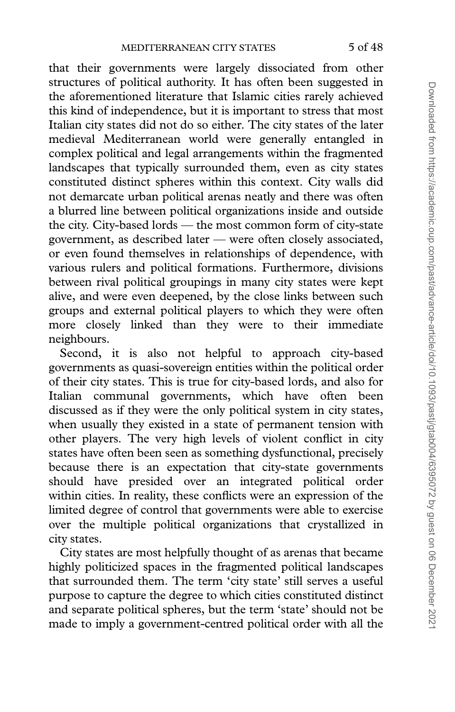that their governments were largely dissociated from other structures of political authority. It has often been suggested in the aforementioned literature that Islamic cities rarely achieved this kind of independence, but it is important to stress that most Italian city states did not do so either. The city states of the later medieval Mediterranean world were generally entangled in complex political and legal arrangements within the fragmented landscapes that typically surrounded them, even as city states constituted distinct spheres within this context. City walls did not demarcate urban political arenas neatly and there was often a blurred line between political organizations inside and outside the city. City-based lords — the most common form of city-state government, as described later — were often closely associated, or even found themselves in relationships of dependence, with various rulers and political formations. Furthermore, divisions between rival political groupings in many city states were kept alive, and were even deepened, by the close links between such groups and external political players to which they were often more closely linked than they were to their immediate neighbours.

Second, it is also not helpful to approach city-based governments as quasi-sovereign entities within the political order of their city states. This is true for city-based lords, and also for Italian communal governments, which have often been discussed as if they were the only political system in city states, when usually they existed in a state of permanent tension with other players. The very high levels of violent conflict in city states have often been seen as something dysfunctional, precisely because there is an expectation that city-state governments should have presided over an integrated political order within cities. In reality, these conflicts were an expression of the limited degree of control that governments were able to exercise over the multiple political organizations that crystallized in city states.

City states are most helpfully thought of as arenas that became highly politicized spaces in the fragmented political landscapes that surrounded them. The term 'city state' still serves a useful purpose to capture the degree to which cities constituted distinct and separate political spheres, but the term 'state' should not be made to imply a government-centred political order with all the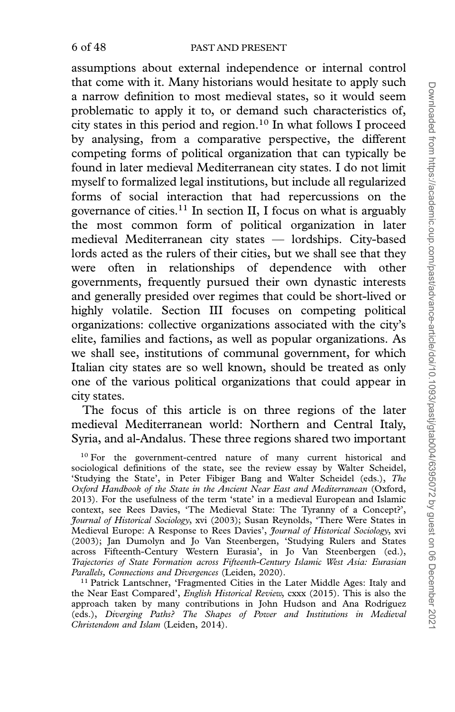assumptions about external independence or internal control that come with it. Many historians would hesitate to apply such a narrow definition to most medieval states, so it would seem problematic to apply it to, or demand such characteristics of, city states in this period and region.<sup>10</sup> In what follows I proceed by analysing, from a comparative perspective, the different competing forms of political organization that can typically be found in later medieval Mediterranean city states. I do not limit myself to formalized legal institutions, but include all regularized forms of social interaction that had repercussions on the governance of cities.11 In section II, I focus on what is arguably the most common form of political organization in later medieval Mediterranean city states — lordships. City-based lords acted as the rulers of their cities, but we shall see that they were often in relationships of dependence with other governments, frequently pursued their own dynastic interests and generally presided over regimes that could be short-lived or highly volatile. Section III focuses on competing political organizations: collective organizations associated with the city's elite, families and factions, as well as popular organizations. As we shall see, institutions of communal government, for which Italian city states are so well known, should be treated as only one of the various political organizations that could appear in city states.

The focus of this article is on three regions of the later medieval Mediterranean world: Northern and Central Italy, Syria, and al-Andalus. These three regions shared two important

<sup>&</sup>lt;sup>10</sup> For the government-centred nature of many current historical and sociological definitions of the state, see the review essay by Walter Scheidel, 'Studying the State', in Peter Fibiger Bang and Walter Scheidel (eds.), The Oxford Handbook of the State in the Ancient Near East and Mediterranean (Oxford, 2013). For the usefulness of the term 'state' in a medieval European and Islamic context, see Rees Davies, 'The Medieval State: The Tyranny of a Concept?', Journal of Historical Sociology, xvi (2003); Susan Reynolds, 'There Were States in Medieval Europe: A Response to Rees Davies', *Journal of Historical Sociology*, xvi (2003); Jan Dumolyn and Jo Van Steenbergen, 'Studying Rulers and States across Fifteenth-Century Western Eurasia', in Jo Van Steenbergen (ed.), Trajectories of State Formation across Fifteenth-Century Islamic West Asia: Eurasian Parallels, Connections and Divergences (Leiden, 2020).

<sup>&</sup>lt;sup>11</sup> Patrick Lantschner, 'Fragmented Cities in the Later Middle Ages: Italy and the Near East Compared', *English Historical Review*, cxxx (2015). This is also the approach taken by many contributions in John Hudson and Ana Rodríguez (eds.), Diverging Paths? The Shapes of Power and Institutions in Medieval Christendom and Islam (Leiden, 2014).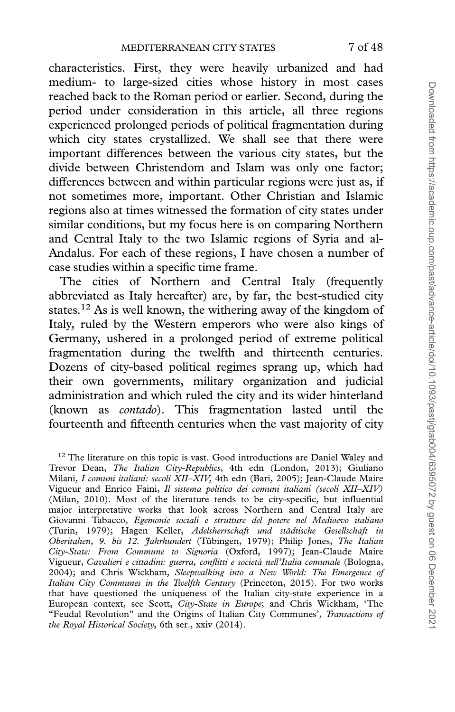characteristics. First, they were heavily urbanized and had medium- to large-sized cities whose history in most cases reached back to the Roman period or earlier. Second, during the period under consideration in this article, all three regions experienced prolonged periods of political fragmentation during which city states crystallized. We shall see that there were important differences between the various city states, but the divide between Christendom and Islam was only one factor; differences between and within particular regions were just as, if not sometimes more, important. Other Christian and Islamic regions also at times witnessed the formation of city states under similar conditions, but my focus here is on comparing Northern and Central Italy to the two Islamic regions of Syria and al-Andalus. For each of these regions, I have chosen a number of case studies within a specific time frame.

The cities of Northern and Central Italy (frequently abbreviated as Italy hereafter) are, by far, the best-studied city states.12 As is well known, the withering away of the kingdom of Italy, ruled by the Western emperors who were also kings of Germany, ushered in a prolonged period of extreme political fragmentation during the twelfth and thirteenth centuries. Dozens of city-based political regimes sprang up, which had their own governments, military organization and judicial administration and which ruled the city and its wider hinterland (known as contado). This fragmentation lasted until the fourteenth and fifteenth centuries when the vast majority of city

 $12$  The literature on this topic is vast. Good introductions are Daniel Waley and Trevor Dean, *The Italian City-Republics*, 4th edn (London, 2013); Giuliano Milani, I comuni italiani: secoli XII–XIV, 4th edn (Bari, 2005); Jean-Claude Maire Vigueur and Enrico Faini, Il sistema politico dei comuni italiani (secoli XII–XIV) (Milan, 2010). Most of the literature tends to be city-specific, but influential major interpretative works that look across Northern and Central Italy are Giovanni Tabacco, Egemonie sociali e strutture del potere nel Medioevo italiano (Turin, 1979); Hagen Keller, Adelsherrschaft und städtische Gesellschaft in Oberitalien, 9. bis 12. Jahrhundert (Tübingen, 1979); Philip Jones, The Italian City-State: From Commune to Signoria (Oxford, 1997); Jean-Claude Maire Vigueur, Cavalieri e cittadini: guerra, conflitti e società nell'Italia comunale (Bologna, 2004); and Chris Wickham, Sleepwalking into a New World: The Emergence of Italian City Communes in the Twelfth Century (Princeton, 2015). For two works that have questioned the uniqueness of the Italian city-state experience in a European context, see Scott, City-State in Europe; and Chris Wickham, 'The "Feudal Revolution" and the Origins of Italian City Communes', Transactions of the Royal Historical Society, 6th ser., xxiv (2014).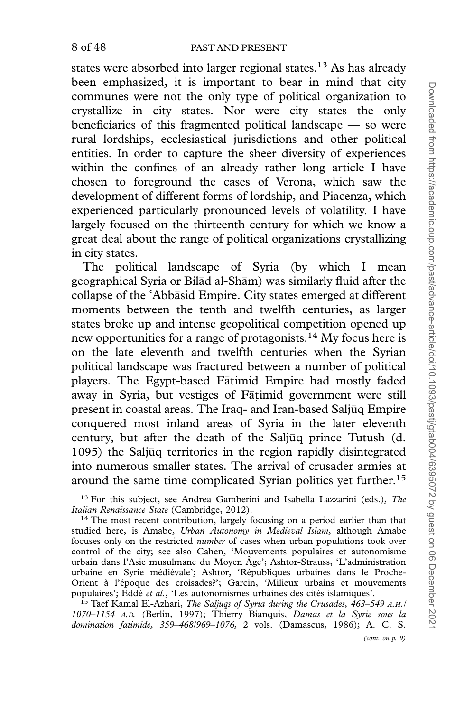states were absorbed into larger regional states.<sup>13</sup> As has already been emphasized, it is important to bear in mind that city communes were not the only type of political organization to crystallize in city states. Nor were city states the only beneficiaries of this fragmented political landscape — so were rural lordships, ecclesiastical jurisdictions and other political entities. In order to capture the sheer diversity of experiences within the confines of an already rather long article I have chosen to foreground the cases of Verona, which saw the development of different forms of lordship, and Piacenza, which experienced particularly pronounced levels of volatility. I have largely focused on the thirteenth century for which we know a great deal about the range of political organizations crystallizing in city states.

The political landscape of Syria (by which I mean geographical Syria or Bilād al-Shām) was similarly fluid after the collapse of the 'Abbasid Empire. City states emerged at different collapse of the 'Abbasid Empire. City states emerged at different<br>moments between the tenth and twelfth centuries, as larger states broke up and intense geopolitical competition opened up new opportunities for a range of protagonists.14 My focus here is on the late eleventh and twelfth centuries when the Syrian political landscape was fractured between a number of political players. The Egypt-based Fāṭimid Empire had mostly faded away in Syria, but vestiges of Fātimid government were still present in coastal areas. The Iraq- and Iran-based Saljūq Empire conquered most inland areas of Syria in the later eleventh century, but after the death of the Saljuq prince Tutush (d. 1095) the Saljūq territories in the region rapidly disintegrated into numerous smaller states. The arrival of crusader armies at around the same time complicated Syrian politics yet further.<sup>15</sup>

 $13$  For this subject, see Andrea Gamberini and Isabella Lazzarini (eds.), The Italian Renaissance State (Cambridge, 2012).

 $14$  The most recent contribution, largely focusing on a period earlier than that studied here, is Amabe, Urban Autonomy in Medieval Islam, although Amabe focuses only on the restricted number of cases when urban populations took over control of the city; see also Cahen, 'Mouvements populaires et autonomisme urbain dans l'Asie musulmane du Moyen Âge'; Ashtor-Strauss, 'L'administration urbaine en Syrie médiévale'; Ashtor, 'Républiques urbaines dans le Proche-Orient à l'époque des croisades?'; Garcin, 'Milieux urbains et mouvements populaires'; Eddé *et al.*, 'Les autonomismes urbaines des cités islamiques'.

15 Taef Kamal El-Azhari, The Saljuqs of Syria during the Crusades, 463-549 A.H./ 1070–1154 A.D. (Berlin, 1997); Thierry Bianquis, Damas et la Syrie sous la domination fatimide, 359–468/969–1076, 2 vols. (Damascus, 1986); A. C. S.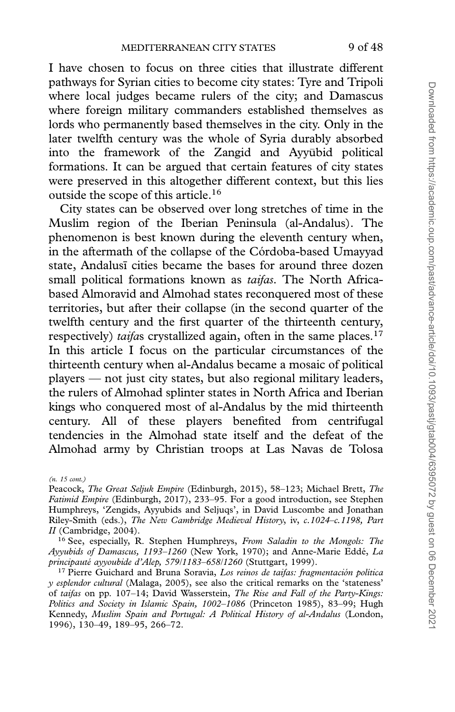I have chosen to focus on three cities that illustrate different pathways for Syrian cities to become city states: Tyre and Tripoli where local judges became rulers of the city; and Damascus where foreign military commanders established themselves as lords who permanently based themselves in the city. Only in the later twelfth century was the whole of Syria durably absorbed into the framework of the Zangid and Ayyūbid political formations. It can be argued that certain features of city states were preserved in this altogether different context, but this lies outside the scope of this article.<sup>16</sup>

City states can be observed over long stretches of time in the Muslim region of the Iberian Peninsula (al-Andalus). The phenomenon is best known during the eleventh century when, in the aftermath of the collapse of the Córdoba-based Umayyad state, Andalusi cities became the bases for around three dozen small political formations known as taifas. The North Africabased Almoravid and Almohad states reconquered most of these territories, but after their collapse (in the second quarter of the twelfth century and the first quarter of the thirteenth century, respectively) taifas crystallized again, often in the same places. $17$ In this article I focus on the particular circumstances of the thirteenth century when al-Andalus became a mosaic of political players — not just city states, but also regional military leaders, the rulers of Almohad splinter states in North Africa and Iberian kings who conquered most of al-Andalus by the mid thirteenth century. All of these players benefited from centrifugal tendencies in the Almohad state itself and the defeat of the Almohad army by Christian troops at Las Navas de Tolosa

<sup>(</sup>n. 15 cont.)

Peacock, The Great Seljuk Empire (Edinburgh, 2015), 58-123; Michael Brett, The Fatimid Empire (Edinburgh, 2017), 233-95. For a good introduction, see Stephen Humphreys, 'Zengids, Ayyubids and Seljuqs', in David Luscombe and Jonathan Riley-Smith (eds.), The New Cambridge Medieval History, iv, c.1024–c.1198, Part II (Cambridge, 2004).

<sup>&</sup>lt;sup>16</sup> See, especially, R. Stephen Humphreys, From Saladin to the Mongols: The Ayyubids of Damascus, 1193-1260 (New York, 1970); and Anne-Marie Eddé, La principauté ayyoubide d'Alep, 579/1183-658/1260 (Stuttgart, 1999).

 $17$  Pierre Guichard and Bruna Soravia, Los reinos de taifas: fragmentación política y esplendor cultural (Malaga, 2005), see also the critical remarks on the 'stateness' of taifas on pp. 107–14; David Wasserstein, The Rise and Fall of the Party-Kings: Politics and Society in Islamic Spain, 1002–1086 (Princeton 1985), 83–99; Hugh Kennedy, Muslim Spain and Portugal: A Political History of al-Andalus (London, 1996), 130–49, 189–95, 266–72.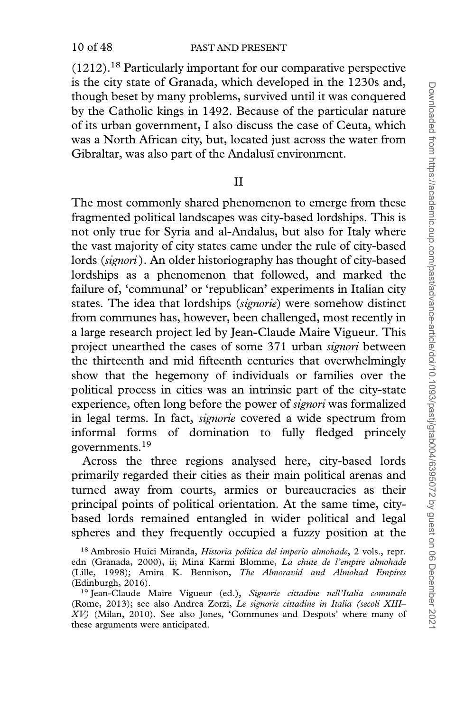10 of 48 PAST AND PRESENT

(1212).18 Particularly important for our comparative perspective is the city state of Granada, which developed in the 1230s and, though beset by many problems, survived until it was conquered by the Catholic kings in 1492. Because of the particular nature of its urban government, I also discuss the case of Ceuta, which was a North African city, but, located just across the water from Gibraltar, was also part of the Andalusi environment.

## II

The most commonly shared phenomenon to emerge from these fragmented political landscapes was city-based lordships. This is not only true for Syria and al-Andalus, but also for Italy where the vast majority of city states came under the rule of city-based lords (signori). An older historiography has thought of city-based lordships as a phenomenon that followed, and marked the failure of, 'communal' or 'republican' experiments in Italian city states. The idea that lordships (signorie) were somehow distinct from communes has, however, been challenged, most recently in a large research project led by Jean-Claude Maire Vigueur. This project unearthed the cases of some 371 urban signori between the thirteenth and mid fifteenth centuries that overwhelmingly show that the hegemony of individuals or families over the political process in cities was an intrinsic part of the city-state experience, often long before the power of signori was formalized in legal terms. In fact, signorie covered a wide spectrum from informal forms of domination to fully fledged princely governments.<sup>19</sup>

Across the three regions analysed here, city-based lords primarily regarded their cities as their main political arenas and turned away from courts, armies or bureaucracies as their principal points of political orientation. At the same time, citybased lords remained entangled in wider political and legal spheres and they frequently occupied a fuzzy position at the

<sup>&</sup>lt;sup>18</sup> Ambrosio Huici Miranda, *Historia política del imperio almohade*, 2 vols., repr. edn (Granada, 2000), ii; Mina Karmi Blomme, La chute de l'empire almohade (Lille, 1998); Amira K. Bennison, The Almoravid and Almohad Empires (Edinburgh, 2016).

<sup>&</sup>lt;sup>19</sup> Jean-Claude Maire Vigueur (ed.), Signorie cittadine nell'Italia comunale (Rome, 2013); see also Andrea Zorzi, Le signorie cittadine in Italia (secoli XIII– XV) (Milan, 2010). See also Jones, 'Communes and Despots' where many of these arguments were anticipated.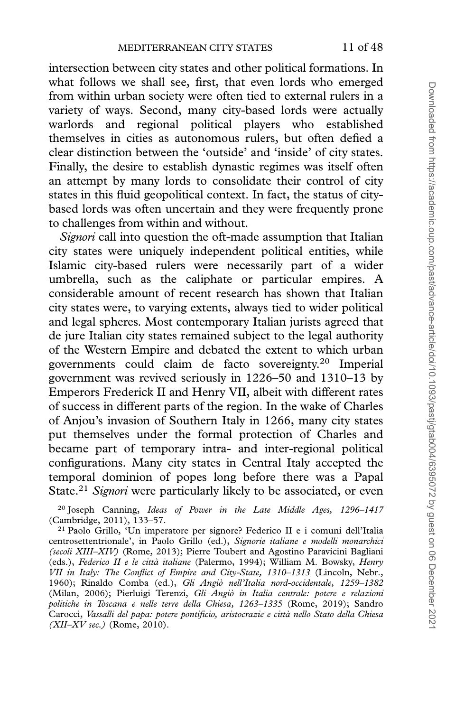intersection between city states and other political formations. In what follows we shall see, first, that even lords who emerged from within urban society were often tied to external rulers in a variety of ways. Second, many city-based lords were actually warlords and regional political players who established themselves in cities as autonomous rulers, but often defied a clear distinction between the 'outside' and 'inside' of city states. Finally, the desire to establish dynastic regimes was itself often an attempt by many lords to consolidate their control of city states in this fluid geopolitical context. In fact, the status of citybased lords was often uncertain and they were frequently prone to challenges from within and without.

Signori call into question the oft-made assumption that Italian city states were uniquely independent political entities, while Islamic city-based rulers were necessarily part of a wider umbrella, such as the caliphate or particular empires. A considerable amount of recent research has shown that Italian city states were, to varying extents, always tied to wider political and legal spheres. Most contemporary Italian jurists agreed that de jure Italian city states remained subject to the legal authority of the Western Empire and debated the extent to which urban governments could claim de facto sovereignty.20 Imperial government was revived seriously in 1226–50 and 1310–13 by Emperors Frederick II and Henry VII, albeit with different rates of success in different parts of the region. In the wake of Charles of Anjou's invasion of Southern Italy in 1266, many city states put themselves under the formal protection of Charles and became part of temporary intra- and inter-regional political configurations. Many city states in Central Italy accepted the temporal dominion of popes long before there was a Papal State.<sup>21</sup> Signori were particularly likely to be associated, or even

<sup>20</sup> Joseph Canning, Ideas of Power in the Late Middle Ages,  $1296-1417$ (Cambridge, 2011), 133–57.

<sup>21</sup> Paolo Grillo, 'Un imperatore per signore? Federico II e i comuni dell'Italia centrosettentrionale', in Paolo Grillo (ed.), Signorie italiane e modelli monarchici (secoli XIII–XIV) (Rome, 2013); Pierre Toubert and Agostino Paravicini Bagliani (eds.), Federico II e le città italiane (Palermo, 1994); William M. Bowsky, Henry VII in Italy: The Conflict of Empire and City-State, 1310–1313 (Lincoln, Nebr., 1960); Rinaldo Comba (ed.), Gli Angiò nell'Italia nord-occidentale, 1259-1382 (Milan, 2006); Pierluigi Terenzi, Gli Angio` in Italia centrale: potere e relazioni politiche in Toscana e nelle terre della Chiesa, 1263–1335 (Rome, 2019); Sandro Carocci, Vassalli del papa: potere pontificio, aristocrazie e citta` nello Stato della Chiesa  $(XII–XV sec.)$  (Rome, 2010).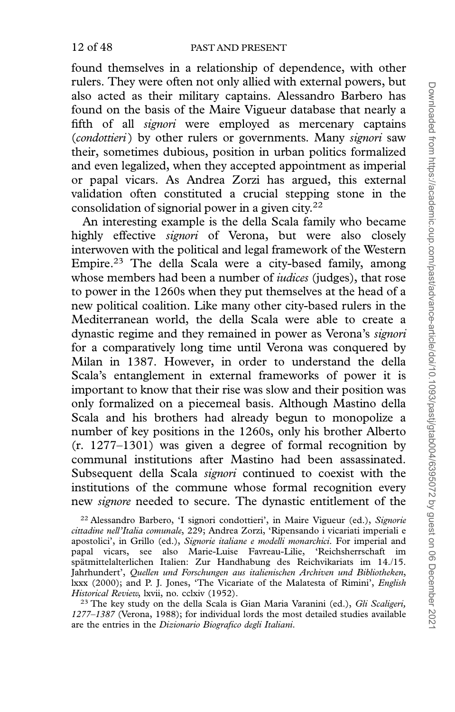found themselves in a relationship of dependence, with other rulers. They were often not only allied with external powers, but also acted as their military captains. Alessandro Barbero has found on the basis of the Maire Vigueur database that nearly a fifth of all *signori* were employed as mercenary captains (condottieri) by other rulers or governments. Many signori saw their, sometimes dubious, position in urban politics formalized and even legalized, when they accepted appointment as imperial or papal vicars. As Andrea Zorzi has argued, this external validation often constituted a crucial stepping stone in the consolidation of signorial power in a given city.<sup>22</sup>

An interesting example is the della Scala family who became highly effective signori of Verona, but were also closely interwoven with the political and legal framework of the Western Empire.23 The della Scala were a city-based family, among whose members had been a number of *iudices* (judges), that rose to power in the 1260s when they put themselves at the head of a new political coalition. Like many other city-based rulers in the Mediterranean world, the della Scala were able to create a dynastic regime and they remained in power as Verona's *signori* for a comparatively long time until Verona was conquered by Milan in 1387. However, in order to understand the della Scala's entanglement in external frameworks of power it is important to know that their rise was slow and their position was only formalized on a piecemeal basis. Although Mastino della Scala and his brothers had already begun to monopolize a number of key positions in the 1260s, only his brother Alberto (r. 1277–1301) was given a degree of formal recognition by communal institutions after Mastino had been assassinated. Subsequent della Scala signori continued to coexist with the institutions of the commune whose formal recognition every new signore needed to secure. The dynastic entitlement of the

<sup>22</sup> Alessandro Barbero, 'I signori condottieri', in Maire Vigueur (ed.), Signorie cittadine nell'Italia comunale, 229; Andrea Zorzi, 'Ripensando i vicariati imperiali e apostolici', in Grillo (ed.), Signorie italiane e modelli monarchici. For imperial and papal vicars, see also Marie-Luise Favreau-Lilie, 'Reichsherrschaft im spätmittelalterlichen Italien: Zur Handhabung des Reichvikariats im 14./15. Jahrhundert', Quellen und Forschungen aus italienischen Archiven und Bibliotheken, lxxx (2000); and P. J. Jones, 'The Vicariate of the Malatesta of Rimini', English Historical Review, lxvii, no. cclxiv (1952).

<sup>23</sup> The key study on the della Scala is Gian Maria Varanini (ed.), *Gli Scaligeri*, 1277–1387 (Verona, 1988); for individual lords the most detailed studies available are the entries in the Dizionario Biografico degli Italiani.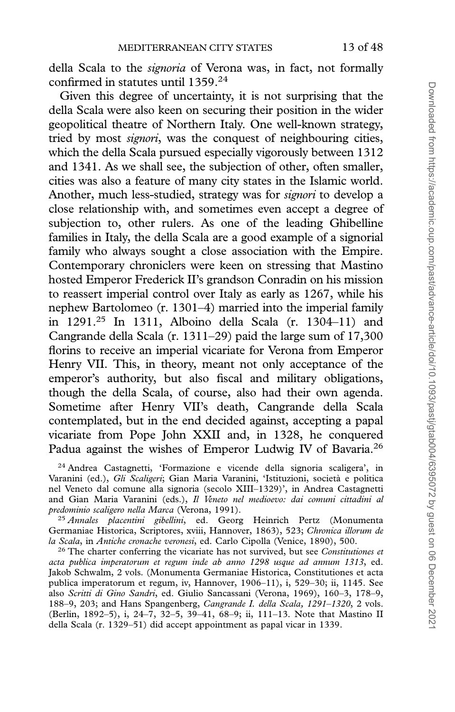della Scala to the *signoria* of Verona was, in fact, not formally confirmed in statutes until 1359.24

Given this degree of uncertainty, it is not surprising that the della Scala were also keen on securing their position in the wider geopolitical theatre of Northern Italy. One well-known strategy, tried by most signori, was the conquest of neighbouring cities, which the della Scala pursued especially vigorously between 1312 and 1341. As we shall see, the subjection of other, often smaller, cities was also a feature of many city states in the Islamic world. Another, much less-studied, strategy was for signori to develop a close relationship with, and sometimes even accept a degree of subjection to, other rulers. As one of the leading Ghibelline families in Italy, the della Scala are a good example of a signorial family who always sought a close association with the Empire. Contemporary chroniclers were keen on stressing that Mastino hosted Emperor Frederick II's grandson Conradin on his mission to reassert imperial control over Italy as early as 1267, while his nephew Bartolomeo (r. 1301–4) married into the imperial family in 1291.25 In 1311, Alboino della Scala (r. 1304–11) and Cangrande della Scala (r. 1311–29) paid the large sum of 17,300 florins to receive an imperial vicariate for Verona from Emperor Henry VII. This, in theory, meant not only acceptance of the emperor's authority, but also fiscal and military obligations, though the della Scala, of course, also had their own agenda. Sometime after Henry VII's death, Cangrande della Scala contemplated, but in the end decided against, accepting a papal vicariate from Pope John XXII and, in 1328, he conquered Padua against the wishes of Emperor Ludwig IV of Bavaria.26

<sup>24</sup> Andrea Castagnetti, 'Formazione e vicende della signoria scaligera', in Varanini (ed.), Gli Scaligeri; Gian Maria Varanini, 'Istituzioni, società e politica nel Veneto dal comune alla signoria (secolo XIII–1329)', in Andrea Castagnetti and Gian Maria Varanini (eds.), Il Veneto nel medioevo: dai comuni cittadini al predominio scaligero nella Marca (Verona, 1991).

<sup>25</sup> Annales placentini gibellini, ed. Georg Heinrich Pertz (Monumenta Germaniae Historica, Scriptores, xviii, Hannover, 1863), 523; Chronica illorum de la Scala, in Antiche cronache veronesi, ed. Carlo Cipolla (Venice, 1890), 500.

 $26$  The charter conferring the vicariate has not survived, but see *Constitutiones et* acta publica imperatorum et regum inde ab anno 1298 usque ad annum 1313, ed. Jakob Schwalm, 2 vols. (Monumenta Germaniae Historica, Constitutiones et acta publica imperatorum et regum, iv, Hannover, 1906–11), i, 529–30; ii, 1145. See also Scritti di Gino Sandri, ed. Giulio Sancassani (Verona, 1969), 160–3, 178–9, 188–9, 203; and Hans Spangenberg, Cangrande I. della Scala, 1291–1320, 2 vols. (Berlin, 1892–5), i, 24–7, 32–5, 39–41, 68–9; ii, 111–13. Note that Mastino II della Scala (r. 1329–51) did accept appointment as papal vicar in 1339.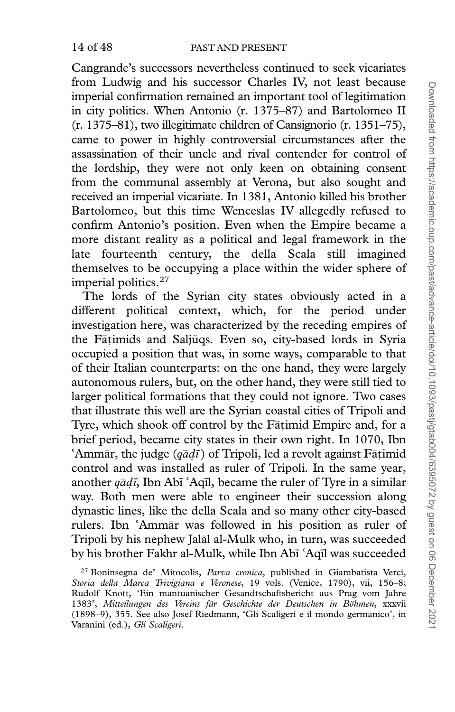Cangrande's successors nevertheless continued to seek vicariates from Ludwig and his successor Charles IV, not least because imperial confirmation remained an important tool of legitimation in city politics. When Antonio (r. 1375–87) and Bartolomeo II (r. 1375–81), two illegitimate children of Cansignorio (r. 1351–75), came to power in highly controversial circumstances after the assassination of their uncle and rival contender for control of the lordship, they were not only keen on obtaining consent from the communal assembly at Verona, but also sought and received an imperial vicariate. In 1381, Antonio killed his brother Bartolomeo, but this time Wenceslas IV allegedly refused to confirm Antonio's position. Even when the Empire became a more distant reality as a political and legal framework in the late fourteenth century, the della Scala still imagined themselves to be occupying a place within the wider sphere of imperial politics.<sup>27</sup>

The lords of the Syrian city states obviously acted in a different political context, which, for the period under investigation here, was characterized by the receding empires of the Fāṭimids and Saljūqs. Even so, city-based lords in Syria occupied a position that was, in some ways, comparable to that of their Italian counterparts: on the one hand, they were largely autonomous rulers, but, on the other hand, they were still tied to larger political formations that they could not ignore. Two cases that illustrate this well are the Syrian coastal cities of Tripoli and Tyre, which shook off control by the Fatimid Empire and, for a brief period, became city states in their own right. In 1070, Ibn 'Ammar, the judge  $(q\bar{a}d\bar{\imath})$  of Tripoli, led a revolt against Fatimid control and was installed as ruler of Tripoli. In the same year,  $\bar{\mathrm{a}}$ r, the judge ( $q\bar{a}d\bar{\imath}$ ) of Tripoli, led a revolt against F $\bar{\mathrm{a}}$ timid another  $q\bar{a}d\bar{\imath}$ , Ibn Abi 'Aqil, became the ruler of Tyre in a similar another  $q\bar{a}d\bar{t}$ , Ibn Abī ʿAqīl, became the ruler of Tyre in a similar way. Both men were able to engineer their succession along dynastic lines, like the della Scala and so many other city-based rulers. Ibn 'Ammar was followed in his position as ruler of rulers. Ibn 'Ammār was followed in his position as ruler of<br>Tripoli by his nephew Jalāl al-Mulk who, in turn, was succeeded by his brother Fakhr al-Mulk, while Ibn Abī ʿAqīl was succeeded<br><sup>27</sup> Boninsegna de' Mitocolis, *Parva cronica*, published in Giambatista Verci.

<sup>27</sup> Boninsegna de' Mitocolis, Parva cronica, published in Giambatista Verci, Storia della Marca Trivigiana e Veronese, 19 vols. (Venice, 1790), vii, 156–8; Rudolf Knott, 'Ein mantuanischer Gesandtschaftsbericht aus Prag vom Jahre 1383', Mitteilungen des Vereins für Geschichte der Deutschen in Böhmen, xxxvii (1898–9), 355. See also Josef Riedmann, 'Gli Scaligeri e il mondo germanico', in Varanini (ed.), Gli Scaligeri.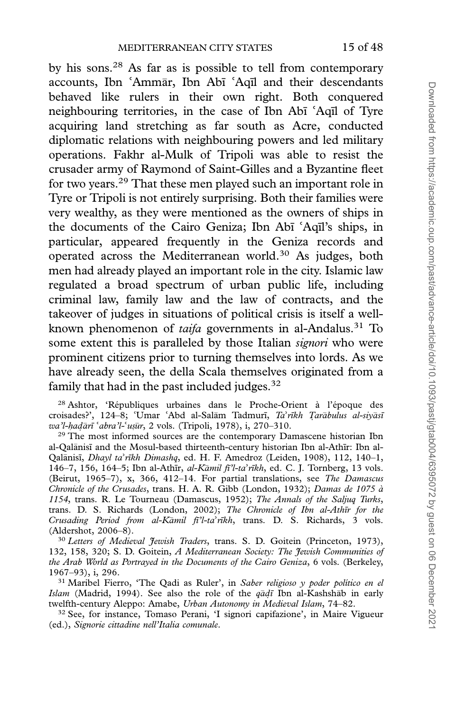by his sons.28 As far as is possible to tell from contemporary accounts, Ibn ʿAmmār, Ibn Abī accounts, Ibn ʿAmmār, Ibn Abī ʿAqīl and their descendants<br>behaved like rulers in their own right. Both conquered neighbouring territories, in the case of Ibn Abī 'Aqīl of Tyre neighbouring territories, in the case of Ibn Abī ʿAqīl of Tyre<br>acquiring land stretching as far south as Acre, conducted diplomatic relations with neighbouring powers and led military operations. Fakhr al-Mulk of Tripoli was able to resist the crusader army of Raymond of Saint-Gilles and a Byzantine fleet for two years.29 That these men played such an important role in Tyre or Tripoli is not entirely surprising. Both their families were very wealthy, as they were mentioned as the owners of ships in the documents of the Cairo Geniza; Ibn Abī 'Aqīl's ships, in the documents of the Cairo Geniza; Ibn Abī ʿAqīl's ships, in<br>particular, appeared frequently in the Geniza records and operated across the Mediterranean world.<sup>30</sup> As judges, both men had already played an important role in the city. Islamic law regulated a broad spectrum of urban public life, including criminal law, family law and the law of contracts, and the takeover of judges in situations of political crisis is itself a wellknown phenomenon of taifa governments in al-Andalus.<sup>31</sup> To some extent this is paralleled by those Italian *signori* who were prominent citizens prior to turning themselves into lords. As we have already seen, the della Scala themselves originated from a family that had in the past included judges.<sup>32</sup>

<sup>28</sup> Ashtor, 'Républiques urbaines dans le Proche-Orient à l'époque des croisades?', 124–8; 'Umar 'Abd al-Salām Tadmurī, *Ta'rīkh Ţarābulus al-siyāsi*<br>wa'l-hadārī ʿabra'l-ʿuṣūr, 2 vols. (Tripoli, 1978), i, 270–310. croisades?', 124–8; 'Umar 'Abd al-Salām Tadmurī, *Ta'r*<br>*wa'l-hadārī 'abra'l-'uṣūr*, 2 vols. (Tripoli, 1978), i, 270–310.

i'l-hadārī ʿabra'l-ʿuṣīir, 2 vols. (Tripoli, 1978), i, 270–310.<br><sup>29</sup> The most informed sources are the contemporary Damascene historian Ibn al-Qalānisī and the Mosul-based thirteenth-century historian Ibn al-Athīr: Ibn al-Qalānisī, Dhayl ta Qalānisī, *Dhayl ta'rīkh Dimashq*, ed. H. F. Amedroz (Leiden, 1908), 112, 140–1,<br>146–7, 156, 164–5; Ibn al-Athīr, *al-Kāmil fi'l-ta'rīkh*, ed. C. J. Tornberg, 13 vols. 146–7, 156, 164–5; Ibn al-Athīr, *al-Kāmil fi<sup>n</sup>l-ta<sup>,</sup> rīkh*, ed. C. J. Tornberg, 13 vols.<br>(Beirut, 1965–7), x, 366, 412–14. For partial translations, see *The Damascus* Chronicle of the Crusades, trans. H. A. R. Gibb (London, 1932); Damas de 1075 à 1154, trans. R. Le Tourneau (Damascus, 1952); The Annals of the Saljuq Turks, trans. D. S. Richards (London, 2002); The Chronicle of Ibn al-Athīr for the Crusading Period from al-Kāmil fī'l-ta'rīkh, trans. D. S. Richards, 3 vols.<br>(Aldershot, 2006–8). (Aldershot, 2006–8).

<sup>30</sup> Letters of Medieval Jewish Traders, trans. S. D. Goitein (Princeton, 1973), 132, 158, 320; S. D. Goitein, A Mediterranean Society: The Jewish Communities of the Arab World as Portrayed in the Documents of the Cairo Geniza, 6 vols. (Berkeley, 1967–93), i, 296.

<sup>31</sup> Maribel Fierro, 'The Qadi as Ruler', in Saber religioso y poder político en el Islam (Madrid, 1994). See also the role of the  $q\bar{a}d\bar{i}$  Ibn al-Kashshab in early twelfth-century Aleppo: Amabe, Urban Autonomy in Medieval Islam, 74-82.

<sup>32</sup> See, for instance, Tomaso Perani, 'I signori capifazione', in Maire Vigueur (ed.), Signorie cittadine nell'Italia comunale.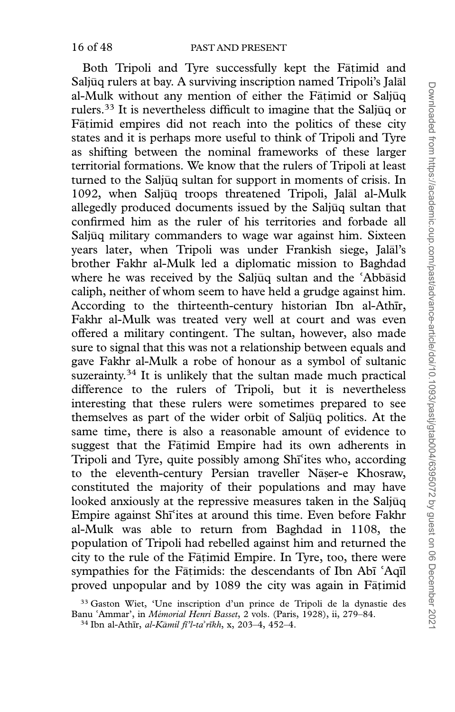Both Tripoli and Tyre successfully kept the Fatimid and Saljūq rulers at bay. A surviving inscription named Tripoli's Jalāl al-Mulk without any mention of either the Fāṭimid or Saljūq rulers.<sup>33</sup> It is nevertheless difficult to imagine that the Saljuq or Fātimid empires did not reach into the politics of these city states and it is perhaps more useful to think of Tripoli and Tyre as shifting between the nominal frameworks of these larger territorial formations. We know that the rulers of Tripoli at least turned to the Saljūq sultan for support in moments of crisis. In 1092, when Saljūq troops threatened Tripoli, Jalāl al-Mulk allegedly produced documents issued by the Saljuq sultan that confirmed him as the ruler of his territories and forbade all Saljūq military commanders to wage war against him. Sixteen years later, when Tripoli was under Frankish siege, Jalāl's brother Fakhr al-Mulk led a diplomatic mission to Baghdad where he was received by the Saljūq sultan and the 'Abbāsid where he was received by the Saljūq sultan and the 'Abbāsid<br>caliph, neither of whom seem to have held a grudge against him. According to the thirteenth-century historian Ibn al-Athīr, Fakhr al-Mulk was treated very well at court and was even offered a military contingent. The sultan, however, also made sure to signal that this was not a relationship between equals and gave Fakhr al-Mulk a robe of honour as a symbol of sultanic suzerainty.<sup>34</sup> It is unlikely that the sultan made much practical difference to the rulers of Tripoli, but it is nevertheless interesting that these rulers were sometimes prepared to see themselves as part of the wider orbit of Saljūq politics. At the same time, there is also a reasonable amount of evidence to suggest that the Fatimid Empire had its own adherents in Tripoli and Tyre, quite possibly among Shī'ites who, according Tripoli and Tyre, quite possibly among Shī<sup>s</sup>ites who, according<br>to the eleventh-century Persian traveller Nāṣer-e Khosraw, constituted the majority of their populations and may have looked anxiously at the repressive measures taken in the Saljūq Empire against Shī<sup>c</sup>ites at around this time. Even before Fakhr Empire against Shīʿites at around this time. Even before Fakhr<br>al-Mulk was able to return from Baghdad in 1108, the population of Tripoli had rebelled against him and returned the city to the rule of the Fatimid Empire. In Tyre, too, there were sympathies for the Fāṭimids: the descendants of Ibn Abī sympathies for the Fāṭimids: the descendants of Ibn Abī ʿAqīl<br>proved unpopular and by 1089 the city was again in Fāṭimid

<sup>33</sup> Gaston Wiet, 'Une inscription d'un prince de Tripoli de la dynastie des Banu 'Ammar', in *Mémorial Henri Basset*, 2 vols. (Paris, 1928), ii, 279–84.<br><sup>34</sup> Ibn al-Athīr, *al-Kāmil fī'l-ta'rīkh*, x, 203–4, 452–4.

āmil fī'l-taʾrīkh, x, 203–4, 452–4.<br>.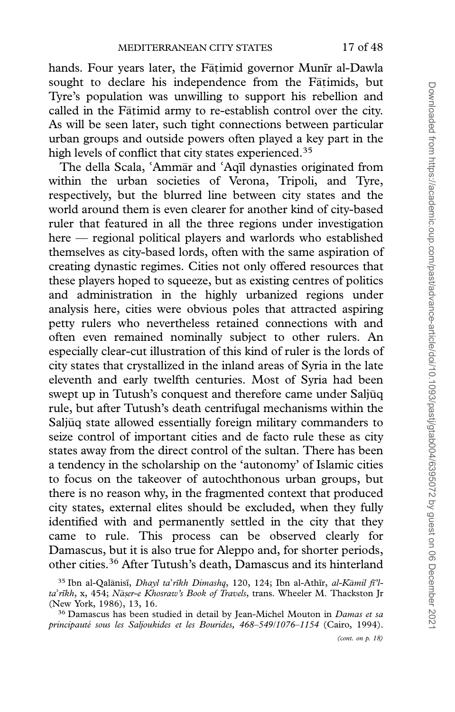hands. Four years later, the Fāṭimid governor Munīr al-Dawla sought to declare his independence from the Fātimids, but Tyre's population was unwilling to support his rebellion and called in the Fātimid army to re-establish control over the city. As will be seen later, such tight connections between particular urban groups and outside powers often played a key part in the high levels of conflict that city states experienced.<sup>35</sup>

The della Scala, 'Ammār and The della Scala, 'Ammar and 'Aqīl dynasties originated from<br>within the urban societies of Verona, Tripoli, and Tyre, respectively, but the blurred line between city states and the world around them is even clearer for another kind of city-based ruler that featured in all the three regions under investigation here — regional political players and warlords who established themselves as city-based lords, often with the same aspiration of creating dynastic regimes. Cities not only offered resources that these players hoped to squeeze, but as existing centres of politics and administration in the highly urbanized regions under analysis here, cities were obvious poles that attracted aspiring petty rulers who nevertheless retained connections with and often even remained nominally subject to other rulers. An especially clear-cut illustration of this kind of ruler is the lords of city states that crystallized in the inland areas of Syria in the late eleventh and early twelfth centuries. Most of Syria had been swept up in Tutush's conquest and therefore came under Saljūq rule, but after Tutush's death centrifugal mechanisms within the Saljuq state allowed essentially foreign military commanders to seize control of important cities and de facto rule these as city states away from the direct control of the sultan. There has been a tendency in the scholarship on the 'autonomy' of Islamic cities to focus on the takeover of autochthonous urban groups, but there is no reason why, in the fragmented context that produced city states, external elites should be excluded, when they fully identified with and permanently settled in the city that they came to rule. This process can be observed clearly for Damascus, but it is also true for Aleppo and, for shorter periods, other cities.36 After Tutush's death, Damascus and its hinterland

<sup>&</sup>lt;sup>35</sup> Ibn al-Qalānisī, *Dhayl ta'rīkh Dimashq*, 120, 124; Ibn al-Athīr, *al-Kāmil fi'l-*<br>'*rīkh*, x, 454; *Nāṣer-e Khosraw's Book of Travels*, trans. Wheeler M. Thackston Jr ta'rīkh, x, 454; Nāṣer-e Khosraw's Book of Travels, trans. Wheeler M. Thackston Jr taʾrīkh, x, 454; Nāṣer-e Kh<br>(New York, 1986), 13, 16.

<sup>&</sup>lt;sup>36</sup> Damascus has been studied in detail by Jean-Michel Mouton in Damas et sa principauté sous les Saljoukides et les Bourides, 468-549/1076-1154 (Cairo, 1994).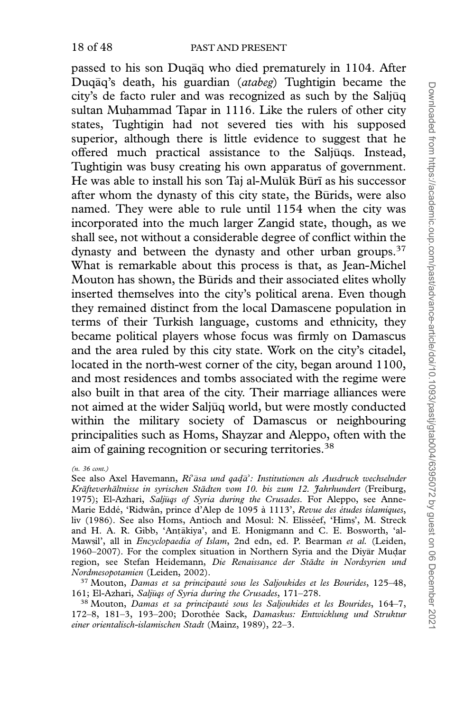passed to his son Duqāq who died prematurely in 1104. After Duqāq's death, his guardian (atabeg) Tughtigin became the city's de facto ruler and was recognized as such by the Saljuq sultan Muhammad Tapar in 1116. Like the rulers of other city states, Tughtigin had not severed ties with his supposed superior, although there is little evidence to suggest that he offered much practical assistance to the Saljuqs. Instead, - Tughtigin was busy creating his own apparatus of government. He was able to install his son Taj al-Mulūk Būrī as his successor after whom the dynasty of this city state, the Būrids, were also named. They were able to rule until 1154 when the city was incorporated into the much larger Zangid state, though, as we shall see, not without a considerable degree of conflict within the dynasty and between the dynasty and other urban groups.<sup>37</sup> What is remarkable about this process is that, as Jean-Michel Mouton has shown, the Būrids and their associated elites wholly inserted themselves into the city's political arena. Even though they remained distinct from the local Damascene population in terms of their Turkish language, customs and ethnicity, they became political players whose focus was firmly on Damascus and the area ruled by this city state. Work on the city's citadel, located in the north-west corner of the city, began around 1100, and most residences and tombs associated with the regime were also built in that area of the city. Their marriage alliances were not aimed at the wider Saljūq world, but were mostly conducted within the military society of Damascus or neighbouring principalities such as Homs, Shayzar and Aleppo, often with the aim of gaining recognition or securing territories.38

<sup>(</sup>n. 36 cont.)

See also Axel Havemann, Ri<sup>2</sup>asa und qada See also Axel Havemann, Ri<sup>s</sup>āsa und qadā': Institutionen als Ausdruck wechselnder<br>Kräfteverhältnisse in syrischen Städten vom 10. bis zum 12. Jahrhundert (Freiburg, 1975); El-Azhari, Saljūqs of Syria during the Crusades. For Aleppo, see Anne-Marie Eddé, 'Ridwân, prince d'Alep de 1095 à 1113', Revue des études islamiques, liv (1986). See also Homs, Antioch and Mosul: N. Elisséef, 'Hims', M. Streck and H. A. R. Gibb, 'Antākiya', and E. Honigmann and C. E. Bosworth, 'al-Mawsil', all in *Encyclopaedia of Islam*, 2nd edn, ed. P. Bearman et al. (Leiden, 1960–2007). For the complex situation in Northern Syria and the Divar Mudar region, see Stefan Heidemann, Die Renaissance der Städte in Nordsyrien und Nordmesopotamien (Leiden, 2002).

<sup>&</sup>lt;sup>37</sup> Mouton, Damas et sa principauté sous les Saljoukides et les Bourides, 125-48, 161; El-Azhari, Saljūqs of Syria during the Crusades, 171-278.

 $38$  Mouton, *Damas et sa principauté sous les Saljoukides et les Bourides*, 164–7, 172–8, 181–3, 193–200; Dorothée Sack, Damaskus: Entwicklung und Struktur einer orientalisch-islamischen Stadt (Mainz, 1989), 22–3.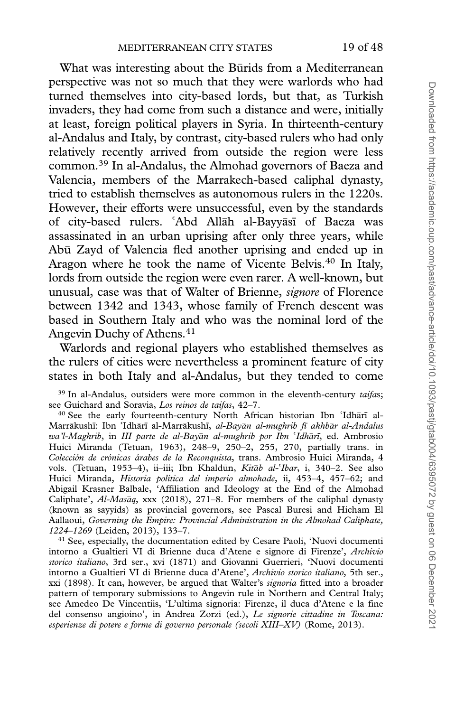What was interesting about the Burids from a Mediterranean perspective was not so much that they were warlords who had turned themselves into city-based lords, but that, as Turkish invaders, they had come from such a distance and were, initially at least, foreign political players in Syria. In thirteenth-century al-Andalus and Italy, by contrast, city-based rulers who had only relatively recently arrived from outside the region were less common.39 In al-Andalus, the Almohad governors of Baeza and Valencia, members of the Marrakech-based caliphal dynasty, tried to establish themselves as autonomous rulers in the 1220s. However, their efforts were unsuccessful, even by the standards of city-based rulers. 'Abd Allāh al-Bayyāsī of Baeza was of city-based rulers. ʿAbd Allāh al-Bayyāsī of Baeza was<br>assassinated in an urban uprising after only three years, while Abū Zayd of Valencia fled another uprising and ended up in Aragon where he took the name of Vicente Belvis.<sup>40</sup> In Italy, lords from outside the region were even rarer. A well-known, but unusual, case was that of Walter of Brienne, signore of Florence between 1342 and 1343, whose family of French descent was based in Southern Italy and who was the nominal lord of the Angevin Duchy of Athens.<sup>41</sup>

Warlords and regional players who established themselves as the rulers of cities were nevertheless a prominent feature of city states in both Italy and al-Andalus, but they tended to come

40 See the early fourteenth-century North African historian Ibn 'Idhari al-<sup>40</sup> See the early fourteenth-century North African historian Ibn 'Idhārī al-<br>Marrākushī: Ibn 'Idhārī al-Marrākushī, *al-Bayān al-mughrib fī akhbār al-Andalus* Marrākushī: Ibn ʿIdhārī al-Marrākushī, *al-Bayān al-mughrib fī akhbār al-Andalus*<br>wa'*l-Maghrib*, in *III parte de al-Bayān al-mughrib por Ibn ʿIdhārī,* ed. Ambrosio wa'l-Maghrib, in *III parte de al-Bayān al-mughrib por Ibn ʿIdhārī*, ed. Ambrosio<br>Huici Miranda (Tetuan, 1963), 248–9, 250–2, 255, 270, partially trans. in Colección de crónicas árabes de la Reconquista, trans. Ambrosio Huici Miranda, 4 vols. (Tetuan, 1953–4), ii–iii; Ibn Khaldūn, *Kitāb al*vols. (Tetuan, 1953–4), ii–iii; Ibn Khaldūn, *Kitāb al-ʿIbar*, i, 340–2. See also<br>Huici Miranda, *Historia política del imperio almohade*, ii, 453–4, 457–62; and Abigail Krasner Balbale, 'Affiliation and Ideology at the End of the Almohad Caliphate',  $Al-Mas\bar{a}q$ , xxx (2018), 271–8. For members of the caliphal dynasty (known as sayyids) as provincial governors, see Pascal Buresi and Hicham El Aallaoui, Governing the Empire: Provincial Administration in the Almohad Caliphate, 1224–1269 (Leiden, 2013), 133–7.

<sup>41</sup> See, especially, the documentation edited by Cesare Paoli, 'Nuovi documenti intorno a Gualtieri VI di Brienne duca d'Atene e signore di Firenze', Archivio storico italiano, 3rd ser., xvi (1871) and Giovanni Guerrieri, 'Nuovi documenti intorno a Gualtieri VI di Brienne duca d'Atene', Archivio storico italiano, 5th ser., xxi (1898). It can, however, be argued that Walter's signoria fitted into a broader pattern of temporary submissions to Angevin rule in Northern and Central Italy; see Amedeo De Vincentiis, 'L'ultima signoria: Firenze, il duca d'Atene e la fine del consenso angioino', in Andrea Zorzi (ed.), Le signorie cittadine in Toscana: esperienze di potere e forme di governo personale (secoli XIII–XV) (Rome, 2013).

 $39$  In al-Andalus, outsiders were more common in the eleventh-century taifas; see Guichard and Soravia, Los reinos de taifas, 42-7.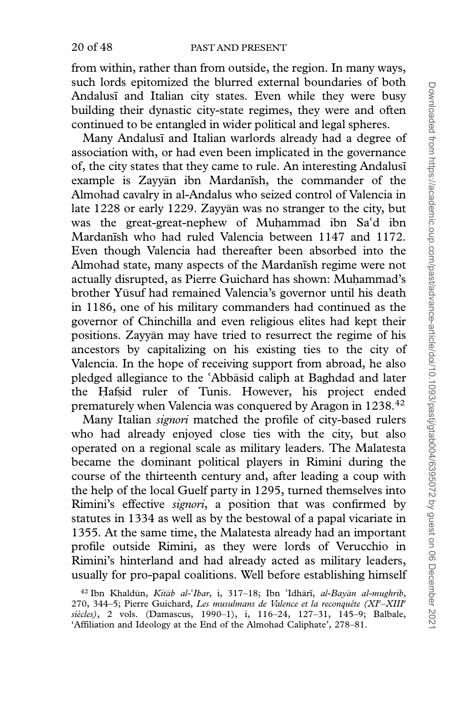from within, rather than from outside, the region. In many ways, such lords epitomized the blurred external boundaries of both Andalusi and Italian city states. Even while they were busy building their dynastic city-state regimes, they were and often continued to be entangled in wider political and legal spheres.

Many Andalusi and Italian warlords already had a degree of association with, or had even been implicated in the governance of, the city states that they came to rule. An interesting Andalusi example is Zayyan ibn Mardanish, the commander of the Almohad cavalry in al-Andalus who seized control of Valencia in late 1228 or early 1229. Zayyan was no stranger to the city, but was the great-great-nephew of Muhammad ibn Sa'd ibn was the great-great-nephew of Muhammad ibn Saʿd ibn<br>Mardanīsh who had ruled Valencia between 1147 and 1172. Even though Valencia had thereafter been absorbed into the Almohad state, many aspects of the Mardanish regime were not actually disrupted, as Pierre Guichard has shown: Muhammad's brother Yūsuf had remained Valencia's governor until his death in 1186, one of his military commanders had continued as the governor of Chinchilla and even religious elites had kept their positions. Zayyān may have tried to resurrect the regime of his ancestors by capitalizing on his existing ties to the city of Valencia. In the hope of receiving support from abroad, he also pledged allegiance to the 'Abbāsid caliph at Baghdad and later pledged allegiance to the 'Abbāsid caliph at Baghdad and later<br>the Hafsid ruler of Tunis. However, his project ended prematurely when Valencia was conquered by Aragon in 1238.42

Many Italian signori matched the profile of city-based rulers who had already enjoyed close ties with the city, but also operated on a regional scale as military leaders. The Malatesta became the dominant political players in Rimini during the course of the thirteenth century and, after leading a coup with the help of the local Guelf party in 1295, turned themselves into Rimini's effective signori, a position that was confirmed by statutes in 1334 as well as by the bestowal of a papal vicariate in 1355. At the same time, the Malatesta already had an important profile outside Rimini, as they were lords of Verucchio in Rimini's hinterland and had already acted as military leaders, usually for pro-papal coalitions. Well before establishing himself

<sup>&</sup>lt;sup>42</sup> Ibn Khaldūn, Kitāb al-'Ibar, i, 317-18; Ibn 'Idhārī, al-Bayān al-mughrib, <sup>42</sup> Ibn Khaldūn, *Kitāb al-'Ibar*, i, 317–18; Ibn 'Idhārī, *al-Bayān al-mughrib*, 270, 344–5; Pierre Guichard, Les musulmans de Valence et la reconquête (XI<sup>e</sup>–XIII<sup>e</sup> siècles), 2 vols. (Damascus, 1990-1), i, 116-24, 127-31, 145-9; Balbale, 'Affiliation and Ideology at the End of the Almohad Caliphate', 278–81.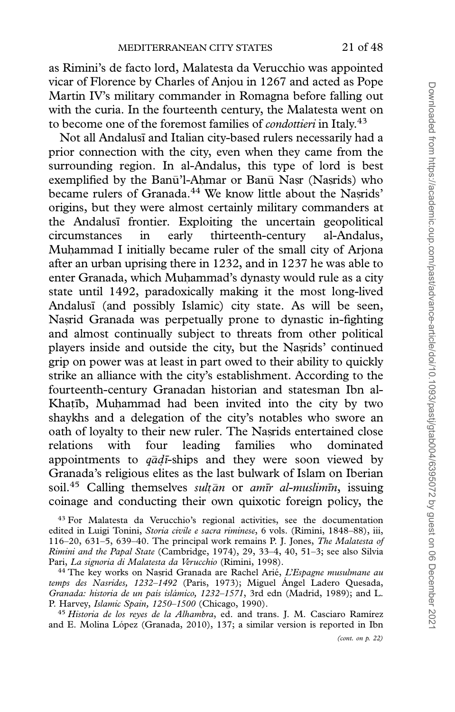as Rimini's de facto lord, Malatesta da Verucchio was appointed vicar of Florence by Charles of Anjou in 1267 and acted as Pope Martin IV's military commander in Romagna before falling out with the curia. In the fourteenth century, the Malatesta went on to become one of the foremost families of *condottieri* in Italy.<sup>43</sup>

Not all Andalusi and Italian city-based rulers necessarily had a prior connection with the city, even when they came from the surrounding region. In al-Andalus, this type of lord is best exemplified by the Banū'l-Ahmar or Banū Nasr (Nasrids) who became rulers of Granada.<sup>44</sup> We know little about the Nasrids' origins, but they were almost certainly military commanders at the Andalusi frontier. Exploiting the uncertain geopolitical circumstances in early thirteenth-century al-Andalus, Muhammad I initially became ruler of the small city of Arjona after an urban uprising there in 1232, and in 1237 he was able to enter Granada, which Muhammad's dynasty would rule as a city state until 1492, paradoxically making it the most long-lived Andalusi (and possibly Islamic) city state. As will be seen, Nasrid Granada was perpetually prone to dynastic in-fighting and almost continually subject to threats from other political players inside and outside the city, but the Nasrids' continued grip on power was at least in part owed to their ability to quickly strike an alliance with the city's establishment. According to the fourteenth-century Granadan historian and statesman Ibn al-Khatib, Muhammad had been invited into the city by two shaykhs and a delegation of the city's notables who swore an oath of loyalty to their new ruler. The Nasrids entertained close relations with four leading families who dominated appointments to  $q\bar{q}d\bar{t}$ -ships and they were soon viewed by Granada's religious elites as the last bulwark of Islam on Iberian soil.<sup>45</sup> Calling themselves *sultān* or amīr al-muslimīn, issuing coinage and conducting their own quixotic foreign policy, the

<sup>43</sup> For Malatesta da Verucchio's regional activities, see the documentation edited in Luigi Tonini, Storia civile e sacra riminese, 6 vols. (Rimini, 1848–88), iii, 116–20, 631–5, 639–40. The principal work remains P. J. Jones, The Malatesta of Rimini and the Papal State (Cambridge, 1974), 29, 33–4, 40, 51–3; see also Silvia Pari, La signoria di Malatesta da Verucchio (Rimini, 1998).

<sup>44</sup> The key works on Nasrid Granada are Rachel Arié, L'Espagne musulmane au temps des Nasrides, 1232-1492 (Paris, 1973); Miguel Angel Ladero Quesada, Granada: historia de un país islámico, 1232-1571, 3rd edn (Madrid, 1989); and L. P. Harvey, Islamic Spain, 1250-1500 (Chicago, 1990).

<sup>45</sup> Historia de los reyes de la Alhambra, ed. and trans. J. M. Casciaro Ramírez and E. Molina López (Granada, 2010), 137; a similar version is reported in Ibn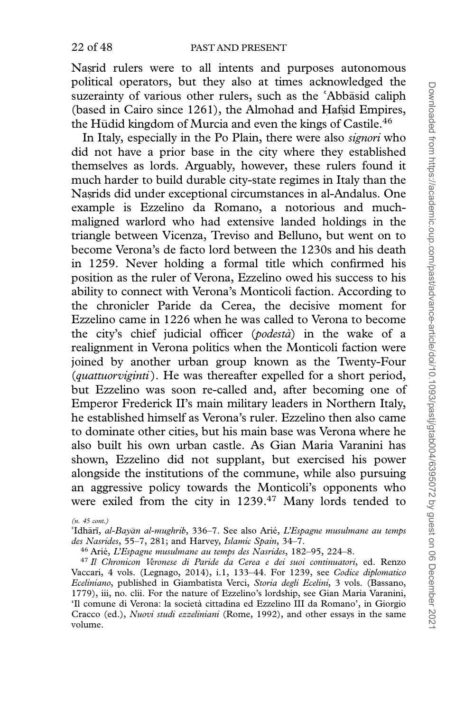Nasrid rulers were to all intents and purposes autonomous political operators, but they also at times acknowledged the suzerainty of various other rulers, such as the 'Abbāsid caliph suzerainty of various other rulers, such as the 'Abbāsid caliph<br>(based in Cairo since 1261), the Almohad and Hafsid Empires, the Hūdid kingdom of Murcia and even the kings of Castile.<sup>46</sup>

In Italy, especially in the Po Plain, there were also *signori* who did not have a prior base in the city where they established themselves as lords. Arguably, however, these rulers found it much harder to build durable city-state regimes in Italy than the Nasrids did under exceptional circumstances in al-Andalus. One example is Ezzelino da Romano, a notorious and muchmaligned warlord who had extensive landed holdings in the triangle between Vicenza, Treviso and Belluno, but went on to become Verona's de facto lord between the 1230s and his death in 1259. Never holding a formal title which confirmed his position as the ruler of Verona, Ezzelino owed his success to his ability to connect with Verona's Monticoli faction. According to the chronicler Paride da Cerea, the decisive moment for Ezzelino came in 1226 when he was called to Verona to become the city's chief judicial officer (*podestà*) in the wake of a realignment in Verona politics when the Monticoli faction were joined by another urban group known as the Twenty-Four (quattuorviginti). He was thereafter expelled for a short period, but Ezzelino was soon re-called and, after becoming one of Emperor Frederick II's main military leaders in Northern Italy, he established himself as Verona's ruler. Ezzelino then also came to dominate other cities, but his main base was Verona where he also built his own urban castle. As Gian Maria Varanini has shown, Ezzelino did not supplant, but exercised his power alongside the institutions of the commune, while also pursuing an aggressive policy towards the Monticoli's opponents who were exiled from the city in 1239.47 Many lords tended to

(n. 45 cont.)

°Idhārī, *al-Bayān al-mughrib*, 336–7. See also Arié, *L'Esp*<br>*des Nasrides,* 55–7, 281; and Harvey, *Islamic Spain,* 34–7. ārī, al-Bayān al-mughrib, 336–7. See also Arié, L'Espagne musulmane au temps

<sup>46</sup> Arié, L'Espagne musulmane au temps des Nasrides, 182–95, 224–8.

<sup>47</sup> Il Chronicon Veronese di Paride da Cerea e dei suoi continuatori, ed. Renzo Vaccari, 4 vols. (Legnago, 2014), i.1, 133–44. For 1239, see Codice diplomatico Eceliniano, published in Giambatista Verci, Storia degli Ecelini, 3 vols. (Bassano, 1779), iii, no. clii. For the nature of Ezzelino's lordship, see Gian Maria Varanini, 'Il comune di Verona: la societa` cittadina ed Ezzelino III da Romano', in Giorgio Cracco (ed.), Nuovi studi ezzeliniani (Rome, 1992), and other essays in the same volume.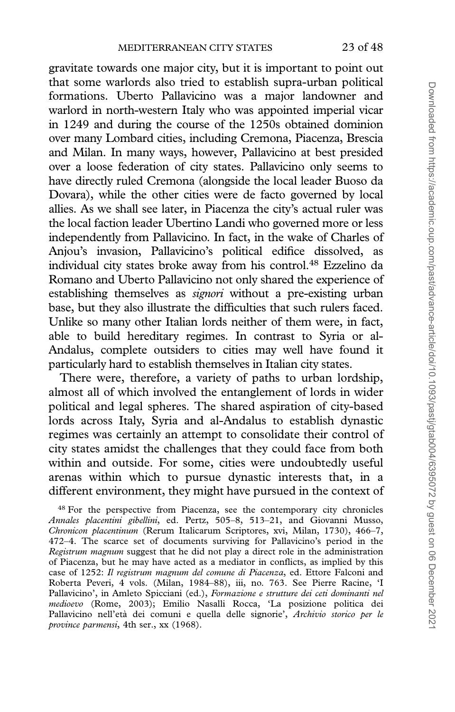gravitate towards one major city, but it is important to point out that some warlords also tried to establish supra-urban political formations. Uberto Pallavicino was a major landowner and warlord in north-western Italy who was appointed imperial vicar in 1249 and during the course of the 1250s obtained dominion over many Lombard cities, including Cremona, Piacenza, Brescia and Milan. In many ways, however, Pallavicino at best presided over a loose federation of city states. Pallavicino only seems to have directly ruled Cremona (alongside the local leader Buoso da Dovara), while the other cities were de facto governed by local allies. As we shall see later, in Piacenza the city's actual ruler was the local faction leader Ubertino Landi who governed more or less independently from Pallavicino. In fact, in the wake of Charles of Anjou's invasion, Pallavicino's political edifice dissolved, as individual city states broke away from his control.48 Ezzelino da Romano and Uberto Pallavicino not only shared the experience of establishing themselves as *signori* without a pre-existing urban base, but they also illustrate the difficulties that such rulers faced. Unlike so many other Italian lords neither of them were, in fact, able to build hereditary regimes. In contrast to Syria or al-Andalus, complete outsiders to cities may well have found it particularly hard to establish themselves in Italian city states.

There were, therefore, a variety of paths to urban lordship, almost all of which involved the entanglement of lords in wider political and legal spheres. The shared aspiration of city-based lords across Italy, Syria and al-Andalus to establish dynastic regimes was certainly an attempt to consolidate their control of city states amidst the challenges that they could face from both within and outside. For some, cities were undoubtedly useful arenas within which to pursue dynastic interests that, in a different environment, they might have pursued in the context of

<sup>48</sup> For the perspective from Piacenza, see the contemporary city chronicles Annales placentini gibellini, ed. Pertz, 505–8, 513–21, and Giovanni Musso, Chronicon placentinum (Rerum Italicarum Scriptores, xvi, Milan, 1730), 466–7, 472–4. The scarce set of documents surviving for Pallavicino's period in the Registrum magnum suggest that he did not play a direct role in the administration of Piacenza, but he may have acted as a mediator in conflicts, as implied by this case of 1252: Il registrum magnum del comune di Piacenza, ed. Ettore Falconi and Roberta Peveri, 4 vols. (Milan, 1984–88), iii, no. 763. See Pierre Racine, 'I Pallavicino', in Amleto Spicciani (ed.), Formazione e strutture dei ceti dominanti nel medioevo (Rome, 2003); Emilio Nasalli Rocca, 'La posizione politica dei Pallavicino nell'età dei comuni e quella delle signorie', Archivio storico per le province parmensi, 4th ser., xx (1968).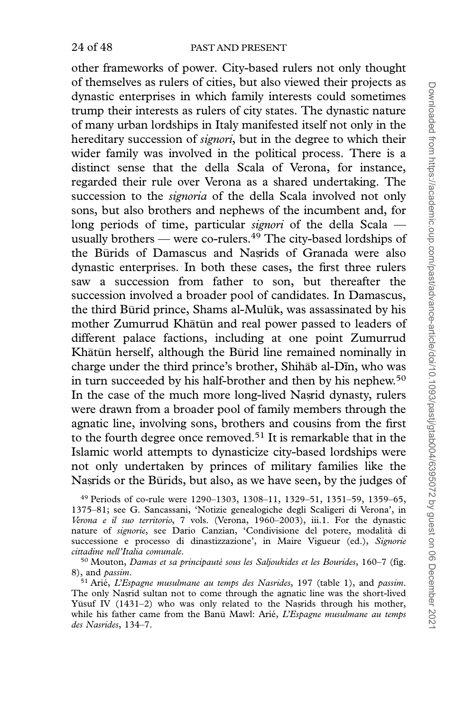other frameworks of power. City-based rulers not only thought of themselves as rulers of cities, but also viewed their projects as dynastic enterprises in which family interests could sometimes trump their interests as rulers of city states. The dynastic nature of many urban lordships in Italy manifested itself not only in the hereditary succession of *signori*, but in the degree to which their wider family was involved in the political process. There is a distinct sense that the della Scala of Verona, for instance, regarded their rule over Verona as a shared undertaking. The succession to the *signoria* of the della Scala involved not only sons, but also brothers and nephews of the incumbent and, for long periods of time, particular signori of the della Scala usually brothers — were co-rulers.<sup>49</sup> The city-based lordships of the Būrids of Damascus and Nasrids of Granada were also dynastic enterprises. In both these cases, the first three rulers saw a succession from father to son, but thereafter the succession involved a broader pool of candidates. In Damascus, the third Būrid prince, Shams al-Mulūk, was assassinated by his mother Zumurrud Khātūn and real power passed to leaders of different palace factions, including at one point Zumurrud Khātūn herself, although the Būrid line remained nominally in charge under the third prince's brother, Shihab al-Din, who was in turn succeeded by his half-brother and then by his nephew.<sup>50</sup> In the case of the much more long-lived Nasrid dynasty, rulers were drawn from a broader pool of family members through the agnatic line, involving sons, brothers and cousins from the first to the fourth degree once removed.<sup>51</sup> It is remarkable that in the Islamic world attempts to dynasticize city-based lordships were not only undertaken by princes of military families like the Nasrids or the Būrids, but also, as we have seen, by the judges of

<sup>49</sup> Periods of co-rule were 1290–1303, 1308–11, 1329–51, 1351–59, 1359–65, 1375–81; see G. Sancassani, 'Notizie genealogiche degli Scaligeri di Verona', in Verona e il suo territorio, 7 vols. (Verona, 1960–2003), iii.1. For the dynastic nature of signorie, see Dario Canzian, 'Condivisione del potere, modalita` di successione e processo di dinastizzazione', in Maire Vigueur (ed.), Signorie cittadine nell'Italia comunale.

 $50$  Mouton, Damas et sa principauté sous les Saljoukides et les Bourides, 160–7 (fig. 8), and passim.

 $51$  Arié, L'Espagne musulmane au temps des Nasrides, 197 (table 1), and passim. The only Nasrid sultan not to come through the agnatic line was the short-lived Yūsuf IV (1431-2) who was only related to the Nasrids through his mother, while his father came from the Banū Mawl: Arié, L'Espagne musulmane au temps des Nasrides, 134–7.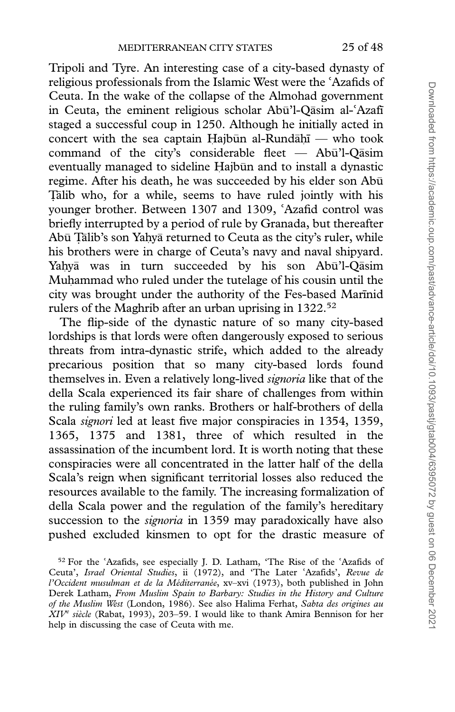Tripoli and Tyre. An interesting case of a city-based dynasty of religious professionals from the Islamic West were the religious professionals from the Islamic West were the 'Azafids of<br>Ceuta. In the wake of the collapse of the Almohad government in Ceuta, the eminent religious scholar Abū'l-Qāsim alin Ceuta, the eminent religious scholar Abū'l-Qāsim al-ʿAzafī<br>staged a successful coup in 1250. Although he initially acted in concert with the sea captain Hajbūn al-Rund $\bar{a}$ hī — who took command of the city's considerable fleet —  $Ab\bar{u}'$ l-Qāsim eventually managed to sideline Hajbūn and to install a dynastic regime. After his death, he was succeeded by his elder son Abu- \_ younger brother. Between 1307 and 1309, Talib who, for a while, seems to have ruled jointly with his younger brother. Between 1307 and 1309, 'Azafid control was<br>briefly interrupted by a period of rule by Granada, but thereafter Abū Țālib's son Yahyā returned to Ceuta as the city's ruler, while his brothers were in charge of Ceuta's navy and naval shipyard. Yaḥyā was in turn succeeded by his son Abū'l-Qāsim Muhammad who ruled under the tutelage of his cousin until the city was brought under the authority of the Fes-based Marinid rulers of the Maghrib after an urban uprising in 1322.52

The flip-side of the dynastic nature of so many city-based lordships is that lords were often dangerously exposed to serious threats from intra-dynastic strife, which added to the already precarious position that so many city-based lords found themselves in. Even a relatively long-lived *signoria* like that of the della Scala experienced its fair share of challenges from within the ruling family's own ranks. Brothers or half-brothers of della Scala *signori* led at least five major conspiracies in 1354, 1359, 1365, 1375 and 1381, three of which resulted in the assassination of the incumbent lord. It is worth noting that these conspiracies were all concentrated in the latter half of the della Scala's reign when significant territorial losses also reduced the resources available to the family. The increasing formalization of della Scala power and the regulation of the family's hereditary succession to the *signoria* in 1359 may paradoxically have also pushed excluded kinsmen to opt for the drastic measure of

<sup>&</sup>lt;sup>52</sup> For the 'Azafids, see especially J. D. Latham, 'The Rise of the 'Azafids of  $52$  For the 'Azafids, see especially J. D. Latham, 'The Rise of the 'Azafids of Ceuta', *Israel Oriental Studies*, ii (1972), and 'The Later 'Azafids', *Revue de* Ceuta', *Israel Oriental Studies*, ii (1972), and 'The Later 'Azafids', *Revue de*<br>*l'Occident musulman et de la Méditerranée*, xv–xvi (1973), both published in John Derek Latham, From Muslim Spain to Barbary: Studies in the History and Culture of the Muslim West (London, 1986). See also Halima Ferhat, Sabta des origines au  $XIV^c$  siècle (Rabat, 1993), 203–59. I would like to thank Amira Bennison for her help in discussing the case of Ceuta with me.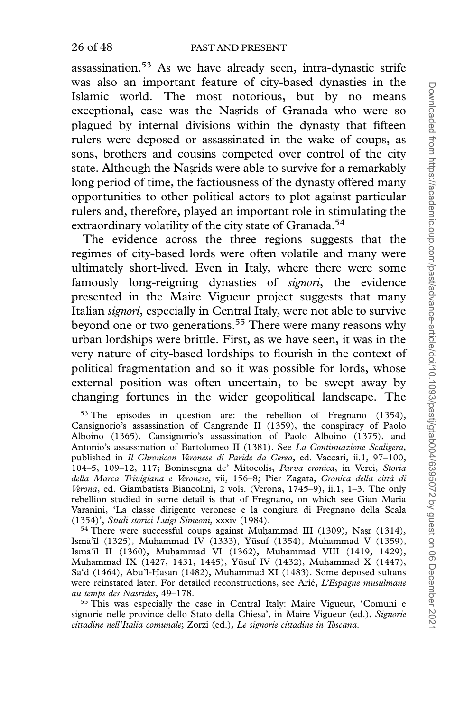assassination.53 As we have already seen, intra-dynastic strife was also an important feature of city-based dynasties in the Islamic world. The most notorious, but by no means exceptional, case was the Nasrids of Granada who were so plagued by internal divisions within the dynasty that fifteen rulers were deposed or assassinated in the wake of coups, as sons, brothers and cousins competed over control of the city state. Although the Nasrids were able to survive for a remarkably long period of time, the factiousness of the dynasty offered many opportunities to other political actors to plot against particular rulers and, therefore, played an important role in stimulating the extraordinary volatility of the city state of Granada.<sup>54</sup>

The evidence across the three regions suggests that the regimes of city-based lords were often volatile and many were ultimately short-lived. Even in Italy, where there were some famously long-reigning dynasties of *signori*, the evidence presented in the Maire Vigueur project suggests that many Italian signori, especially in Central Italy, were not able to survive beyond one or two generations.<sup>55</sup> There were many reasons why urban lordships were brittle. First, as we have seen, it was in the very nature of city-based lordships to flourish in the context of political fragmentation and so it was possible for lords, whose external position was often uncertain, to be swept away by changing fortunes in the wider geopolitical landscape. The

<sup>53</sup> The episodes in question are: the rebellion of Fregnano (1354), Cansignorio's assassination of Cangrande II (1359), the conspiracy of Paolo Alboino (1365), Cansignorio's assassination of Paolo Alboino (1375), and Antonio's assassination of Bartolomeo II (1381). See La Continuazione Scaligera, published in Il Chronicon Veronese di Paride da Cerea, ed. Vaccari, ii.1, 97–100, 104–5, 109–12, 117; Boninsegna de' Mitocolis, Parva cronica, in Verci, Storia della Marca Trivigiana e Veronese, vii, 156–8; Pier Zagata, Cronica della città di Verona, ed. Giambatista Biancolini, 2 vols. (Verona, 1745–9), ii.1, 1–3. The only rebellion studied in some detail is that of Fregnano, on which see Gian Maria Varanini, 'La classe dirigente veronese e la congiura di Fregnano della Scala (1354)', Studi storici Luigi Simeoni, xxxiv (1984).

 $54$  There were successful coups against Muhammad III (1309), Nasr (1314), Ismāʿīl (1325), Muḥammad IV (1333), Yūsuf (1354), Muḥammad V (1359), Ismāʿīl (1325), Muḥammad IV (1333), Yūsuf (1354), Muḥ<br>Ismāʿīl II (1360), Muḥammad VI (1362), Muḥammad V Ismāʿīl II (1360), Muḥammad VI (1362), Muḥammad VIII (1419, 1429),<br>Muḥammad IX (1427, 1431, 1445), Yūsuf IV (1432), Muḥammad X (1447), Sa'd (1464), Abū'l-Hasan (1482), Muhammad XI (1483). Some deposed sultans Saʿd (1464), Abū'l-Hasan (1482), Muḥammad XI (1483). Some deposed sultans<br>were reinstated later. For detailed reconstructions, see Arié, *L'Espagne musulmane* au temps des Nasrides, 49–178.

<sup>55</sup> This was especially the case in Central Italy: Maire Vigueur, 'Comuni e signorie nelle province dello Stato della Chiesa', in Maire Vigueur (ed.), Signorie cittadine nell'Italia comunale; Zorzi (ed.), Le signorie cittadine in Toscana.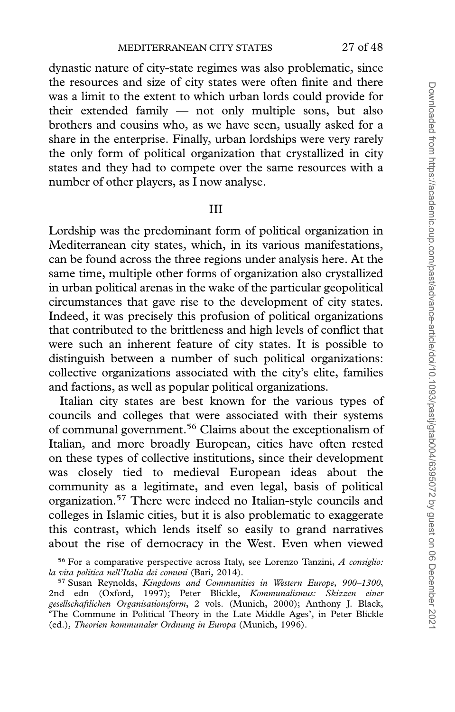dynastic nature of city-state regimes was also problematic, since the resources and size of city states were often finite and there was a limit to the extent to which urban lords could provide for their extended family — not only multiple sons, but also brothers and cousins who, as we have seen, usually asked for a share in the enterprise. Finally, urban lordships were very rarely the only form of political organization that crystallized in city states and they had to compete over the same resources with a number of other players, as I now analyse.

### III

Lordship was the predominant form of political organization in Mediterranean city states, which, in its various manifestations, can be found across the three regions under analysis here. At the same time, multiple other forms of organization also crystallized in urban political arenas in the wake of the particular geopolitical circumstances that gave rise to the development of city states. Indeed, it was precisely this profusion of political organizations that contributed to the brittleness and high levels of conflict that were such an inherent feature of city states. It is possible to distinguish between a number of such political organizations: collective organizations associated with the city's elite, families and factions, as well as popular political organizations.

Italian city states are best known for the various types of councils and colleges that were associated with their systems of communal government.56 Claims about the exceptionalism of Italian, and more broadly European, cities have often rested on these types of collective institutions, since their development was closely tied to medieval European ideas about the community as a legitimate, and even legal, basis of political organization.57 There were indeed no Italian-style councils and colleges in Islamic cities, but it is also problematic to exaggerate this contrast, which lends itself so easily to grand narratives about the rise of democracy in the West. Even when viewed

 $56$  For a comparative perspective across Italy, see Lorenzo Tanzini, A consiglio: la vita politica nell'Italia dei comuni (Bari, 2014).

<sup>57</sup> Susan Reynolds, Kingdoms and Communities in Western Europe, 900–1300, 2nd edn (Oxford, 1997); Peter Blickle, Kommunalismus: Skizzen einer gesellschaftlichen Organisationsform, 2 vols. (Munich, 2000); Anthony J. Black, 'The Commune in Political Theory in the Late Middle Ages', in Peter Blickle (ed.), Theorien kommunaler Ordnung in Europa (Munich, 1996).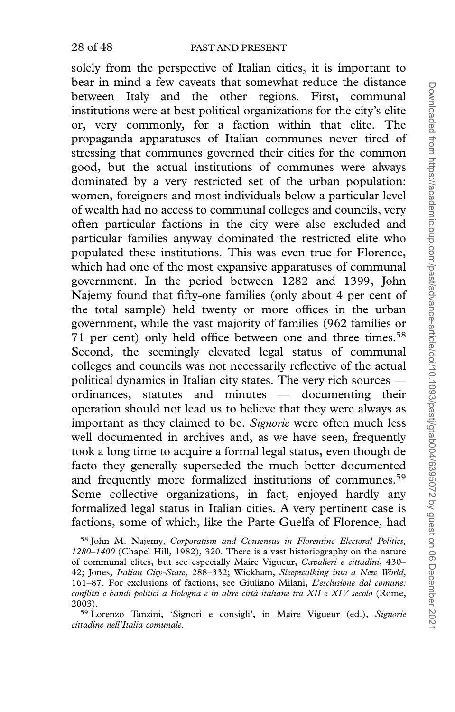solely from the perspective of Italian cities, it is important to bear in mind a few caveats that somewhat reduce the distance between Italy and the other regions. First, communal institutions were at best political organizations for the city's elite or, very commonly, for a faction within that elite. The propaganda apparatuses of Italian communes never tired of stressing that communes governed their cities for the common good, but the actual institutions of communes were always dominated by a very restricted set of the urban population: women, foreigners and most individuals below a particular level of wealth had no access to communal colleges and councils, very often particular factions in the city were also excluded and particular families anyway dominated the restricted elite who populated these institutions. This was even true for Florence, which had one of the most expansive apparatuses of communal government. In the period between 1282 and 1399, John Najemy found that fifty-one families (only about 4 per cent of the total sample) held twenty or more offices in the urban government, while the vast majority of families (962 families or 71 per cent) only held office between one and three times.<sup>58</sup> Second, the seemingly elevated legal status of communal colleges and councils was not necessarily reflective of the actual political dynamics in Italian city states. The very rich sources ordinances, statutes and minutes — documenting their operation should not lead us to believe that they were always as important as they claimed to be. Signorie were often much less well documented in archives and, as we have seen, frequently took a long time to acquire a formal legal status, even though de facto they generally superseded the much better documented and frequently more formalized institutions of communes.<sup>59</sup> Some collective organizations, in fact, enjoyed hardly any formalized legal status in Italian cities. A very pertinent case is factions, some of which, like the Parte Guelfa of Florence, had

<sup>58</sup> John M. Najemy, Corporatism and Consensus in Florentine Electoral Politics, 1280–1400 (Chapel Hill, 1982), 320. There is a vast historiography on the nature of communal elites, but see especially Maire Vigueur, Cavalieri e cittadini, 430– 42; Jones, Italian City-State, 288–332; Wickham, Sleepwalking into a New World, 161–87. For exclusions of factions, see Giuliano Milani, L'esclusione dal comune: conflitti e bandi politici a Bologna e in altre città italiane tra XII e XIV secolo (Rome, 2003).

<sup>59</sup> Lorenzo Tanzini, 'Signori e consigli', in Maire Vigueur (ed.), Signorie cittadine nell'Italia comunale.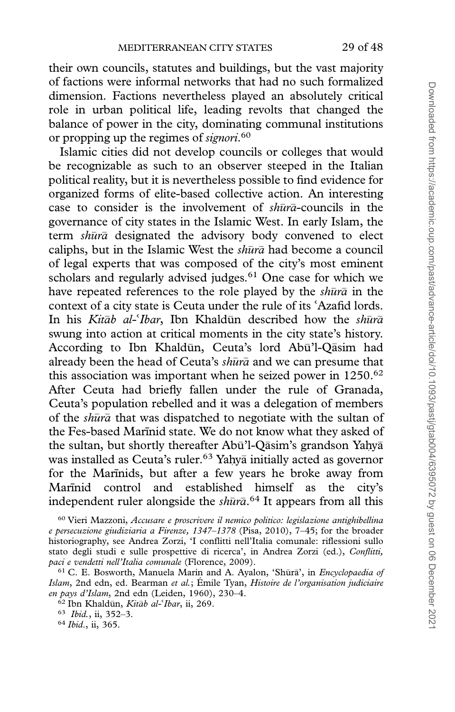their own councils, statutes and buildings, but the vast majority of factions were informal networks that had no such formalized dimension. Factions nevertheless played an absolutely critical role in urban political life, leading revolts that changed the balance of power in the city, dominating communal institutions or propping up the regimes of signori.<sup>60</sup>

Islamic cities did not develop councils or colleges that would be recognizable as such to an observer steeped in the Italian political reality, but it is nevertheless possible to find evidence for organized forms of elite-based collective action. An interesting case to consider is the involvement of  $sh\bar{u}r\bar{a}$ -councils in the governance of city states in the Islamic West. In early Islam, the term shura designated the advisory body convened to elect caliphs, but in the Islamic West the  $sh\bar{u}r\bar{a}$  had become a council of legal experts that was composed of the city's most eminent scholars and regularly advised judges.<sup>61</sup> One case for which we have repeated references to the role played by the  $\it sh{\bar u}r{\bar a}$  in the context of a city state is Ceuta under the rule of its 'Azafid lords. context of a city state is Ceuta under the rule of its 'Azafid lords.<br>In his *Kitāb al-'Ibar*, Ibn Khaldūn described how the *shūrā* In his *Kitāb al-'Ibar*, Ibn Khaldūn described how the *shūrā* swung into action at critical moments in the city state's history. According to Ibn Khaldūn, Ceuta's lord Abū'l-Qāsim had already been the head of Ceuta's  $\it sh{\bar u}r{\bar a}$  and we can presume that this association was important when he seized power in  $1250.^{62}$ After Ceuta had briefly fallen under the rule of Granada, Ceuta's population rebelled and it was a delegation of members of the shura that was dispatched to negotiate with the sultan of the Fes-based Marinid state. We do not know what they asked of the sultan, but shortly thereafter Abū'l-Qāsim's grandson Yaḥyā was installed as Ceuta's ruler.<sup>63</sup> Yahyā initially acted as governor for the Marīnids, but after a few years he broke away from Marinid control and established himself as the city's independent ruler alongside the  $sh\bar{u}$  ra $\bar{a}$ .<sup>64</sup> It appears from all this

<sup>60</sup> Vieri Mazzoni, Accusare e proscrivere il nemico politico: legislazione antighibellina e persecuzione giudiziaria a Firenze, 1347–1378 (Pisa, 2010), 7–45; for the broader historiography, see Andrea Zorzi, 'I conflitti nell'Italia comunale: riflessioni sullo stato degli studi e sulle prospettive di ricerca', in Andrea Zorzi (ed.), Conflitti, paci e vendetti nell'Italia comunale (Florence, 2009).

<sup>&</sup>lt;sup>61</sup> C. E. Bosworth, Manuela Marín and A. Ayalon, 'Shūrā', in Encyclopaedia of Islam, 2nd edn, ed. Bearman et al.; Émile Tyan, Histoire de l'organisation judiciaire en pays d'Islam, 2nd edn (Leiden, 1960), 230–4.

<sup>&</sup>lt;sup>62</sup> Ibn Khaldūn, *Kitāb al-'Ibar*, ii, 269.<br><sup>63</sup> Ibid., ii, 352–3.<br><sup>64</sup> Ibid., ii, 365.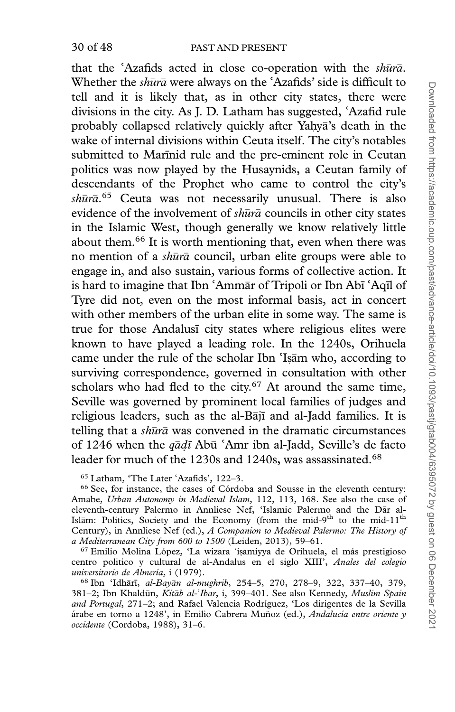that the 'Azafids acted in close co-operation with the shura. that the 'Azafids acted in close co-operation with the *shun* Whether the *shura* were always on the 'Azafids' side is difficult Whether the *shūrā* were always on the 'Azafids' side is difficult to tell and it is likely that, as in other city states, there were divisions in the city. As J. D. Latham has suggested, 'Azafid rule divisions in the city. As J. D. Latham has suggested, ʿAzafid rule<br>probably collapsed relatively quickly after Yahyā's death in the wake of internal divisions within Ceuta itself. The city's notables submitted to Marinid rule and the pre-eminent role in Ceutan politics was now played by the Husaynids, a Ceutan family of descendants of the Prophet who came to control the city's shūrā.<sup>65</sup> Ceuta was not necessarily unusual. There is also evidence of the involvement of  $sh\bar{u}r\bar{a}$  councils in other city states in the Islamic West, though generally we know relatively little about them.66 It is worth mentioning that, even when there was no mention of a shūrā council, urban elite groups were able to engage in, and also sustain, various forms of collective action. It is hard to imagine that Ibn ʿAmmār of Tripoli or Ibn Abī is hard to imagine that Ibn ʿAmmār of Tripoli or Ibn Abī ʿAqīl of<br>Tyre did not, even on the most informal basis, act in concert with other members of the urban elite in some way. The same is true for those Andalusi city states where religious elites were known to have played a leading role. In the 1240s, Orihuela came under the rule of the scholar Ibn 'Isām who, according to<br>surviving correspondence, governed in consultation with other surviving correspondence, governed in consultation with other scholars who had fled to the city.<sup>67</sup> At around the same time, Seville was governed by prominent local families of judges and religious leaders, such as the al-Bājī and al-Jadd families. It is telling that a  $sh\bar{u}r\bar{a}$  was convened in the dramatic circumstances of 1246 when the  $q\bar{a}d\bar{a}$  Abu of 1246 when the  $q\bar{a}d\bar{t}$  Abū 'Amr ibn al-Jadd, Seville's de facto leader for much of the 1230s and 1240s, was assassinated.<sup>68</sup>

<sup>65</sup> Latham, 'The Later 'Azafids', 122-3.

<sup>66</sup> See, for instance, the cases of Córdoba and Sousse in the eleventh century: Amabe, Urban Autonomy in Medieval Islam, 112, 113, 168. See also the case of eleventh-century Palermo in Annliese Nef, 'Islamic Palermo and the Dār al-Islām: Politics, Society and the Economy (from the mid-9<sup>th</sup> to the mid-11<sup>th</sup> Century), in Annliese Nef (ed.), A Companion to Medieval Palermo: The History of a Mediterranean City from 600 to 1500 (Leiden, 2013), 59–61.

<sup>67</sup> Emilio Molina López, 'La wizāra 'iṣāmiyya de Orihuela, el más prestigioso <sup>67</sup> Emilio Molina López, 'La wizāra 'iṣāmiyya de Orihuela, el más prestigioso centro politico y cultural de al-Andalus en el siglo XIII', *Anales del colegio* universitario de Almería, i (1979).

68 Ibn 'Idhārī, al-Bayān al-mughrib, 254-5, 270, 278-9, 322, 337-40, 379, 381–2; Ibn Khaldūn, *Kitāb al-ʿIbar*, i, 399–401. See also Kennedy, *Muslim Spain*<br>*and Portugal*, 271–2; and Rafael Valencia Rodríguez, 'Los dirigentes de la Sevilla and Portugal, 271–2; and Rafael Valencia Rodríguez, 'Los dirigentes de la Sevilla árabe en torno a 1248', in Emilio Cabrera Muñoz (ed.), *Andalucia entre oriente y* occidente (Cordoba, 1988), 31–6.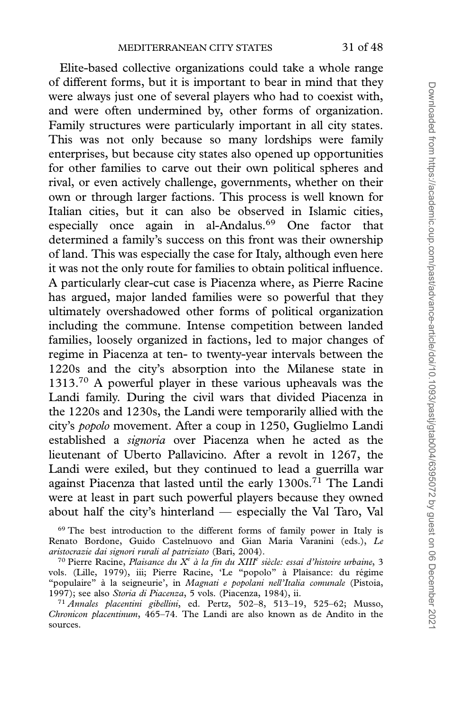Elite-based collective organizations could take a whole range of different forms, but it is important to bear in mind that they were always just one of several players who had to coexist with, and were often undermined by, other forms of organization. Family structures were particularly important in all city states. This was not only because so many lordships were family enterprises, but because city states also opened up opportunities for other families to carve out their own political spheres and rival, or even actively challenge, governments, whether on their own or through larger factions. This process is well known for Italian cities, but it can also be observed in Islamic cities, especially once again in al-Andalus.<sup>69</sup> One factor that determined a family's success on this front was their ownership of land. This was especially the case for Italy, although even here it was not the only route for families to obtain political influence. A particularly clear-cut case is Piacenza where, as Pierre Racine has argued, major landed families were so powerful that they ultimately overshadowed other forms of political organization including the commune. Intense competition between landed families, loosely organized in factions, led to major changes of regime in Piacenza at ten- to twenty-year intervals between the 1220s and the city's absorption into the Milanese state in 1313.<sup>70</sup> A powerful player in these various upheavals was the Landi family. During the civil wars that divided Piacenza in the 1220s and 1230s, the Landi were temporarily allied with the city's popolo movement. After a coup in 1250, Guglielmo Landi established a signoria over Piacenza when he acted as the lieutenant of Uberto Pallavicino. After a revolt in 1267, the Landi were exiled, but they continued to lead a guerrilla war against Piacenza that lasted until the early 1300s.<sup>71</sup> The Landi were at least in part such powerful players because they owned about half the city's hinterland — especially the Val Taro, Val

<sup>69</sup> The best introduction to the different forms of family power in Italy is Renato Bordone, Guido Castelnuovo and Gian Maria Varanini (eds.), Le aristocrazie dai signori rurali al patriziato (Bari, 2004).

<sup>71</sup> Annales placentini gibellini, ed. Pertz, 502–8, 513–19, 525–62; Musso, Chronicon placentinum, 465–74. The Landi are also known as de Andito in the sources.

<sup>&</sup>lt;sup>70</sup> Pierre Racine, Plaisance du X<sup>e</sup> à la fin du XIII<sup>e</sup> siècle: essai d'histoire urbaine, 3 vols. (Lille, 1979), iii; Pierre Racine, 'Le "popolo" à Plaisance: du régime "populaire" à la seigneurie', in Magnati e popolani nell'Italia comunale (Pistoia, 1997); see also Storia di Piacenza, 5 vols. (Piacenza, 1984), ii.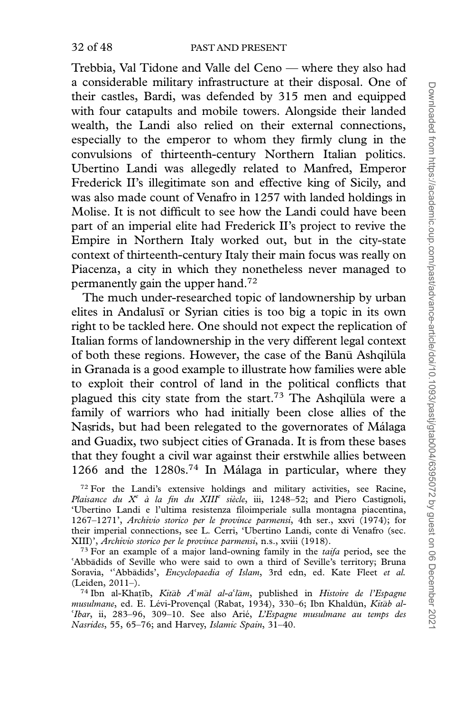Trebbia, Val Tidone and Valle del Ceno — where they also had a considerable military infrastructure at their disposal. One of their castles, Bardi, was defended by 315 men and equipped with four catapults and mobile towers. Alongside their landed wealth, the Landi also relied on their external connections, especially to the emperor to whom they firmly clung in the convulsions of thirteenth-century Northern Italian politics. Ubertino Landi was allegedly related to Manfred, Emperor Frederick II's illegitimate son and effective king of Sicily, and was also made count of Venafro in 1257 with landed holdings in Molise. It is not difficult to see how the Landi could have been part of an imperial elite had Frederick II's project to revive the Empire in Northern Italy worked out, but in the city-state context of thirteenth-century Italy their main focus was really on Piacenza, a city in which they nonetheless never managed to permanently gain the upper hand.72

The much under-researched topic of landownership by urban elites in Andalusi or Syrian cities is too big a topic in its own right to be tackled here. One should not expect the replication of Italian forms of landownership in the very different legal context of both these regions. However, the case of the Banū Ashqilūla in Granada is a good example to illustrate how families were able to exploit their control of land in the political conflicts that plagued this city state from the start.<sup>73</sup> The Ashqilula were a family of warriors who had initially been close allies of the Nasrids, but had been relegated to the governorates of Málaga and Guadix, two subject cities of Granada. It is from these bases that they fought a civil war against their erstwhile allies between 1266 and the  $1280s.^{74}$  In Málaga in particular, where they

 $72$  For the Landi's extensive holdings and military activities, see Racine, Plaisance du  $X^e$  à la fin du XIII<sup>e</sup> siècle, iii, 1248–52; and Piero Castignoli, 'Ubertino Landi e l'ultima resistenza filoimperiale sulla montagna piacentina, 1267–1271', Archivio storico per le province parmensi, 4th ser., xxvi (1974); for their imperial connections, see L. Cerri, 'Ubertino Landi, conte di Venafro (sec. XIII)', Archivio storico per le province parmensi, n.s., xviii (1918).

<sup>73</sup> For an example of a major land-owning family in the *taifa* period, see the 'Abbādids of Seville who were said to own a third of Seville's territory; Bruna<br>Soravia, ''Abbādids', *Encyclopaedia of Islam*, 3rd edn, ed. Kate Fleet *et al*. 'Abbadids of Seville who were said to own a third of Seville's territory; Bruna Soravia, "Abbāc<br>(Leiden, 2011–).

74 Ibn al-Khatīb, Kitāb A'māl al-a'lām, published in Histoire de l'Espagne <sup>74</sup> Ibn al-Khaṭīb, *Kitāb A'māl al-a'lām*, published in *Histoire de l'Espagne*<br>musulmane, ed. E. Lévi-Provençal (Rabat, 1934), 330–6; Ibn Khaldūn, *Kitāb al-*'Ibar, ii, 283–96, 309–10. See also Arié, L'Espagne musulmane au temps des Nasrides, 55, 65–76; and Harvey, Islamic Spain, 31–40.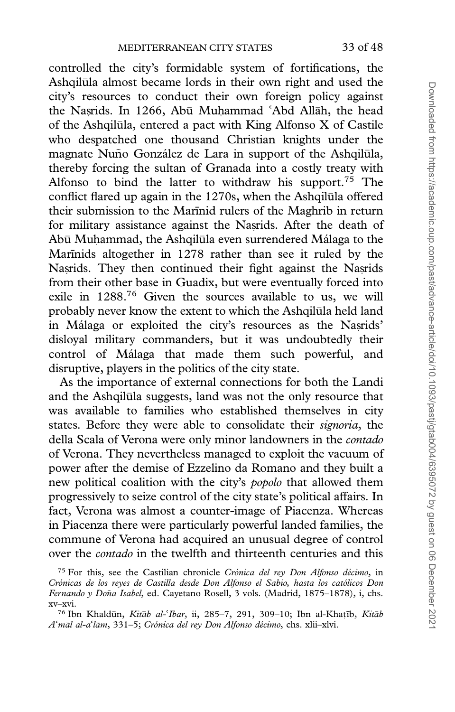controlled the city's formidable system of fortifications, the Ashqilūla almost became lords in their own right and used the city's resources to conduct their own foreign policy against the Nasrids. In 1266, Abū Muhammad ʿAbd Allāh, the head the Naṣrids. In 1266, Abū Muḥammad ʿAbd Allāh, the head<br>of the Ashqilūla, entered a pact with King Alfonso X of Castile who despatched one thousand Christian knights under the magnate Nuño González de Lara in support of the Ashqilūla, thereby forcing the sultan of Granada into a costly treaty with Alfonso to bind the latter to withdraw his support.<sup>75</sup> The conflict flared up again in the 1270s, when the Ashqilūla offered their submission to the Marinid rulers of the Maghrib in return for military assistance against the Nasrids. After the death of Abū Muḥammad, the Ashqilūla even surrendered Málaga to the Marīnids altogether in 1278 rather than see it ruled by the Nasrids. They then continued their fight against the Nasrids from their other base in Guadix, but were eventually forced into exile in 1288.76 Given the sources available to us, we will probably never know the extent to which the Ashqilūla held land in Málaga or exploited the city's resources as the Nasrids' disloyal military commanders, but it was undoubtedly their control of Málaga that made them such powerful, and disruptive, players in the politics of the city state.

As the importance of external connections for both the Landi and the Ashqilūla suggests, land was not the only resource that was available to families who established themselves in city states. Before they were able to consolidate their *signoria*, the della Scala of Verona were only minor landowners in the contado of Verona. They nevertheless managed to exploit the vacuum of power after the demise of Ezzelino da Romano and they built a new political coalition with the city's *popolo* that allowed them progressively to seize control of the city state's political affairs. In fact, Verona was almost a counter-image of Piacenza. Whereas in Piacenza there were particularly powerful landed families, the commune of Verona had acquired an unusual degree of control over the *contado* in the twelfth and thirteenth centuries and this

 $75$  For this, see the Castilian chronicle Crónica del rey Don Alfonso décimo, in Crónicas de los reyes de Castilla desde Don Alfonso el Sabio, hasta los católicos Don Fernando y Doña Isabel, ed. Cayetano Rosell, 3 vols. (Madrid, 1875–1878), i, chs. xv–xvi.

<sup>&</sup>lt;sup>76</sup> Ibn Khaldūn, *Kitāb al-'Ibar*, ii, 285–7, 291, 309–10; Ibn al-Khaṭīb, *Kitāb*<br>māl al-a'lām, 331–5; Crónica del rey Don Alfonso décimo, chs. xlii–xlvi. Aʻmāl al-aʻlām, 331–5; Crónica del rey Don Alfonso décimo, chs. xlii–xlvi.<br>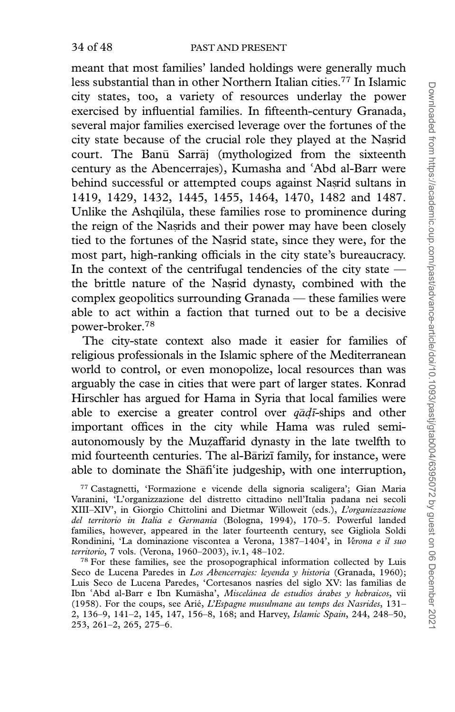meant that most families' landed holdings were generally much less substantial than in other Northern Italian cities.77 In Islamic city states, too, a variety of resources underlay the power exercised by influential families. In fifteenth-century Granada, several major families exercised leverage over the fortunes of the city state because of the crucial role they played at the Nasrid court. The Banū Sarraj (mythologized from the sixteenth century as the Abencerrajes), Kumasha and century as the Abencerrajes), Kumasha and 'Abd al-Barr were<br>behind successful or attempted coups against Nasrid sultans in 1419, 1429, 1432, 1445, 1455, 1464, 1470, 1482 and 1487. Unlike the Ashqilula, these families rose to prominence during the reign of the Nasrids and their power may have been closely tied to the fortunes of the Nasrid state, since they were, for the most part, high-ranking officials in the city state's bureaucracy. In the context of the centrifugal tendencies of the city state the brittle nature of the Nasrid dynasty, combined with the complex geopolitics surrounding Granada — these families were able to act within a faction that turned out to be a decisive power-broker.78

The city-state context also made it easier for families of religious professionals in the Islamic sphere of the Mediterranean world to control, or even monopolize, local resources than was arguably the case in cities that were part of larger states. Konrad Hirschler has argued for Hama in Syria that local families were able to exercise a greater control over  $q\bar{q}q\bar{t}$ -ships and other important offices in the city while Hama was ruled semiautonomously by the Muzaffarid dynasty in the late twelfth to<br>mid fourteenth centuries. The al-Barizi family for instance, were mid fourteenth centuries. The al-Bārizī family, for instance, were able to dominate the Shafi<sup>c</sup>ite judgeship, with one interruption,<br><sup>77</sup> Castagnetti, 'Formazione e vicende della signoria scaligera': Gian Maria

<sup>77</sup> Castagnetti, 'Formazione e vicende della signoria scaligera'; Gian Maria Varanini, 'L'organizzazione del distretto cittadino nell'Italia padana nei secoli XIII–XIV', in Giorgio Chittolini and Dietmar Willoweit (eds.), L'organizzazione del territorio in Italia e Germania (Bologna, 1994), 170–5. Powerful landed families, however, appeared in the later fourteenth century, see Gigliola Soldi Rondinini, 'La dominazione viscontea a Verona, 1387-1404', in Verona e il suo territorio, 7 vols. (Verona, 1960–2003), iv.1, 48–102.

<sup>78</sup> For these families, see the prosopographical information collected by Luis Seco de Lucena Paredes in Los Abencerrajes: levenda y historia (Granada, 1960); Luis Seco de Lucena Paredes, 'Cortesanos nașries del siglo XV: las familias de Ibn `Abd al-Barr e Ibn Kumāsha', *Miscelánea de estudios árabes y hebraicos*, vii Ibn ʿAbd al-Barr e Ibn Kumāsha', *Miscelánea de estudios árabes y hebraicos*, vii<br>(1958). For the coups, see Arié, *L'Espagne musulmane au temps des Nasrides*, 131-2, 136–9, 141–2, 145, 147, 156–8, 168; and Harvey, Islamic Spain, 244, 248–50, 253, 261–2, 265, 275–6.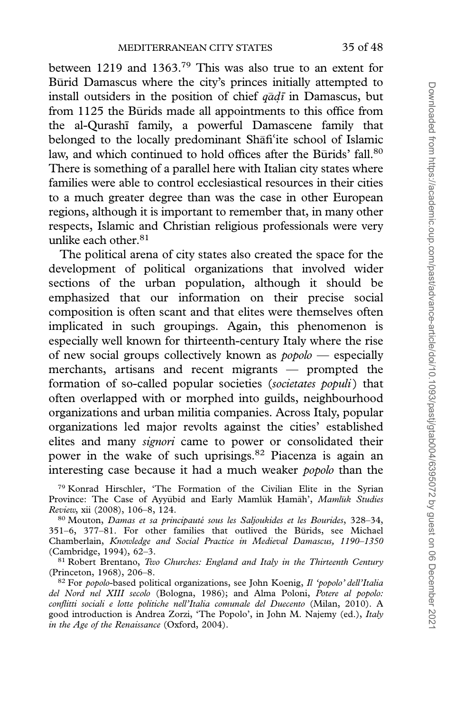between 1219 and 1363.<sup>79</sup> This was also true to an extent for Būrid Damascus where the city's princes initially attempted to install outsiders in the position of chief  $q\bar{a}d\bar{\iota}$  in Damascus, but from 1125 the Būrids made all appointments to this office from the al-Ourashī family, a powerful Damascene family that belonged to the locally predominant Shāfi belonged to the locally predominant Shāfi<sup>c</sup>ite school of Islamic<br>law, and which continued to hold offices after the Būrids' fall.<sup>80</sup> There is something of a parallel here with Italian city states where families were able to control ecclesiastical resources in their cities to a much greater degree than was the case in other European regions, although it is important to remember that, in many other respects, Islamic and Christian religious professionals were very unlike each other. $81$ 

The political arena of city states also created the space for the development of political organizations that involved wider sections of the urban population, although it should be emphasized that our information on their precise social composition is often scant and that elites were themselves often implicated in such groupings. Again, this phenomenon is especially well known for thirteenth-century Italy where the rise of new social groups collectively known as  $poobo$  — especially merchants, artisans and recent migrants — prompted the formation of so-called popular societies (societates populi) that often overlapped with or morphed into guilds, neighbourhood organizations and urban militia companies. Across Italy, popular organizations led major revolts against the cities' established elites and many signori came to power or consolidated their power in the wake of such uprisings.<sup>82</sup> Piacenza is again an interesting case because it had a much weaker popolo than the

<sup>79</sup> Konrad Hirschler, 'The Formation of the Civilian Elite in the Syrian Province: The Case of Ayyūbid and Early Mamlūk Hamāh', Mamlūk Studies Review, xii (2008), 106–8, 124.

80 Mouton, Damas et sa principauté sous les Saljoukides et les Bourides, 328-34, 351-6, 377-81. For other families that outlived the Būrids, see Michael Chamberlain, Knowledge and Social Practice in Medieval Damascus, 1190–1350 (Cambridge, 1994), 62–3.

 $81$  Robert Brentano, Two Churches: England and Italy in the Thirteenth Century (Princeton, 1968), 206–8.

82 For popolo-based political organizations, see John Koenig, Il 'popolo' dell'Italia del Nord nel XIII secolo (Bologna, 1986); and Alma Poloni, Potere al popolo: conflitti sociali e lotte politiche nell'Italia comunale del Duecento (Milan, 2010). A good introduction is Andrea Zorzi, 'The Popolo', in John M. Najemy (ed.), Italy in the Age of the Renaissance (Oxford, 2004).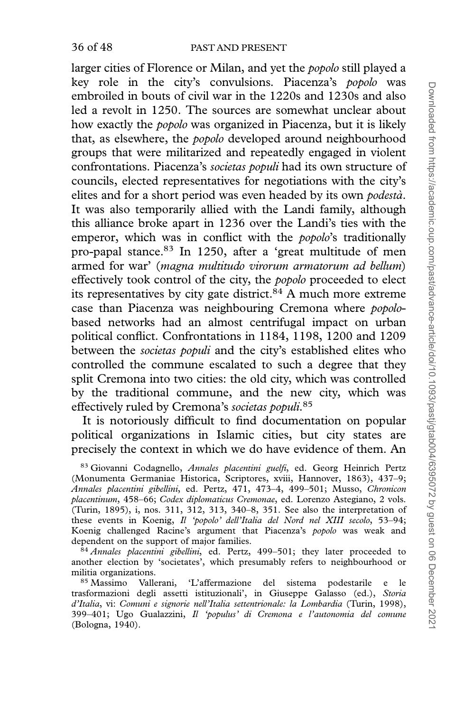larger cities of Florence or Milan, and yet the *popolo* still played a key role in the city's convulsions. Piacenza's popolo was embroiled in bouts of civil war in the 1220s and 1230s and also led a revolt in 1250. The sources are somewhat unclear about how exactly the popolo was organized in Piacenza, but it is likely that, as elsewhere, the popolo developed around neighbourhood groups that were militarized and repeatedly engaged in violent confrontations. Piacenza's societas populi had its own structure of councils, elected representatives for negotiations with the city's elites and for a short period was even headed by its own *podestà*. It was also temporarily allied with the Landi family, although this alliance broke apart in 1236 over the Landi's ties with the emperor, which was in conflict with the *popolo*'s traditionally pro-papal stance.83 In 1250, after a 'great multitude of men armed for war' (magna multitudo virorum armatorum ad bellum) effectively took control of the city, the popolo proceeded to elect its representatives by city gate district. $84$  A much more extreme case than Piacenza was neighbouring Cremona where popolobased networks had an almost centrifugal impact on urban political conflict. Confrontations in 1184, 1198, 1200 and 1209 between the *societas populi* and the city's established elites who controlled the commune escalated to such a degree that they split Cremona into two cities: the old city, which was controlled by the traditional commune, and the new city, which was effectively ruled by Cremona's societas populi.<sup>85</sup>

It is notoriously difficult to find documentation on popular political organizations in Islamic cities, but city states are precisely the context in which we do have evidence of them. An

83 Giovanni Codagnello, Annales placentini guelfi, ed. Georg Heinrich Pertz (Monumenta Germaniae Historica, Scriptores, xviii, Hannover, 1863), 437–9; Annales placentini gibellini, ed. Pertz, 471, 473–4, 499–501; Musso, Chronicon placentinum, 458–66; Codex diplomaticus Cremonae, ed. Lorenzo Astegiano, 2 vols. (Turin, 1895), i, nos. 311, 312, 313, 340–8, 351. See also the interpretation of these events in Koenig, Il 'popolo' dell'Italia del Nord nel XIII secolo, 53–94; Koenig challenged Racine's argument that Piacenza's popolo was weak and dependent on the support of major families.

 $84$  Annales placentini gibellini, ed. Pertz, 499–501; they later proceeded to another election by 'societates', which presumably refers to neighbourhood or militia organizations.

<sup>85</sup> Massimo Vallerani, 'L'affermazione del sistema podestarile e le trasformazioni degli assetti istituzionali', in Giuseppe Galasso (ed.), Storia d'Italia, vi: Comuni e signorie nell'Italia settentrionale: la Lombardia (Turin, 1998), 399–401; Ugo Gualazzini, Il 'populus' di Cremona e l'autonomia del comune (Bologna, 1940).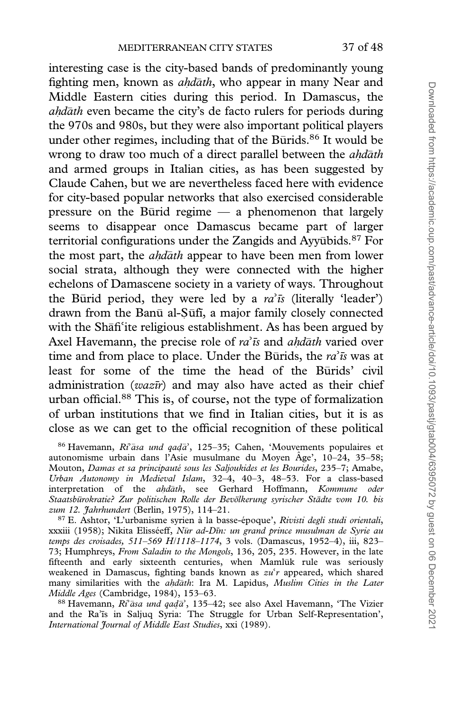interesting case is the city-based bands of predominantly young fighting men, known as *ahdāth*, who appear in many Near and Middle Eastern cities during this period. In Damascus, the ahdath even became the city's de facto rulers for periods during the 970s and 980s, but they were also important political players under other regimes, including that of the Būrids.<sup>86</sup> It would be wrong to draw too much of a direct parallel between the *ahd<del>a</del>th* and armed groups in Italian cities, as has been suggested by Claude Cahen, but we are nevertheless faced here with evidence for city-based popular networks that also exercised considerable pressure on the Būrid regime  $-$  a phenomenon that largely seems to disappear once Damascus became part of larger territorial configurations under the Zangids and Ayyūbids.<sup>87</sup> For the most part, the *ahdath* appear to have been men from lower social strata, although they were connected with the higher echelons of Damascene society in a variety of ways. Throughout the Būrid period, they were led by a  $ra^2\bar{s}$  (literally 'leader') drawn from the Banū al-Sūfī, a major family closely connected drawn from the Banū al-Ṣūfī, a major family closely connected with the Shāfi with the Shāfi<sup>c</sup>ite religious establishment. As has been argued by<br>Axel Havemann, the precise role of *ra* is and *ahdāth* varied over Axel Havemann, the precise role of  $ra^3\bar{u}$  and ahdath va<br>time and from place to place. Under the Burids, the ra time and from place to place. Under the Burids, the  $ra^2\bar{u}$  was at least for some of the time the head of the Burids' civil administration ( $waz\bar{u}$ ) and may also have acted as their chief urban official.88 This is, of course, not the type of formalization of urban institutions that we find in Italian cities, but it is as close as we can get to the official recognition of these political

86 Havemann, Ri<sup>2</sup>āsa und qadā <sup>86</sup> Havemann, *Ri<sup>3</sup>asa und qadā*', 125–35; Cahen, 'Mouvements populaires et autonomisme urbain dans l'Asie musulmane du Moyen Âge', 10–24, 35–58; Mouton, Damas et sa principauté sous les Saljoukides et les Bourides, 235–7; Amabe, Urban Autonomy in Medieval Islam, 32–4, 40–3, 48–53. For a class-based interpretation of the ahdath, see Gerhard Hoffmann, Kommune oder Staatsbürokratie? Zur politischen Rolle der Bevölkerung syrischer Städte vom 10. bis zum 12. Jahrhundert (Berlin, 1975), 114-21.

<sup>87</sup> E. Ashtor, 'L'urbanisme syrien à la basse-époque', Rivisti degli studi orientali, xxxiii (1958); Nikita Elisséeff, *Nūr ad-Dīn: un grand prince musulman de Syrie au* temps des croisades, 511–569 H/1118–1174, 3 vols. (Damascus, 1952–4), iii, 823– 73; Humphreys, From Saladin to the Mongols, 136, 205, 235. However, in the late fifteenth and early sixteenth centuries, when Mamluk rule was seriously weakened in Damascus, fighting bands known as  $zu'r$  appeared, which shared weakened in Damascus, fighting bands known as  $zu'r$  appeared, which shared<br>many similarities with the *ahdāth*: Ira M. Lapidus, *Muslim Cities in the Later* Middle Ages (Cambridge, 1984), 153–63.

88 Havemann, Ri<sup>2</sup>āsa und qadā <sup>88</sup> Havemann, *Ri<sup>3</sup>asa und qadā*', 135–42; see also Axel Havemann, 'The Vizier and the Ra'īs in Saljuq Syria: The Struggle for Urban Self-Representation', *International Journal of Middle East Studies*, xxi (1989). International Journal of Middle East Studies, xxi (1989).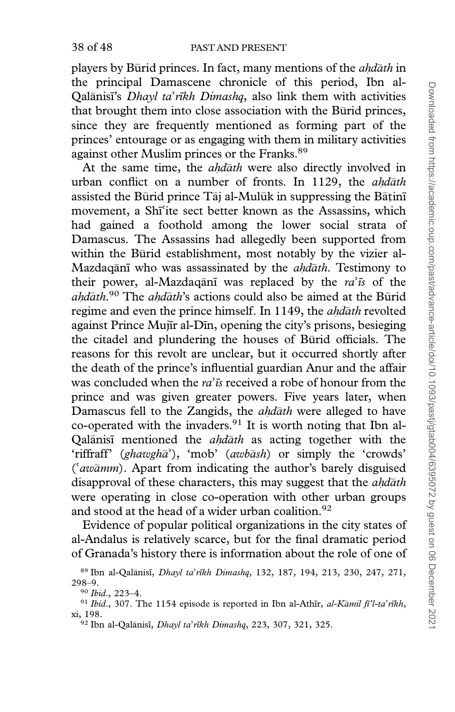#### 38 of 48 PAST AND PRESENT

players by Būrid princes. In fact, many mentions of the *ahdāth* in the principal Damascene chronicle of this period, Ibn al-Qalānisī's *Dhayl ta* Qalānisī's *Dhayl ta'rīkh Dimashq*, also link them with activities that brought them into close association with the Būrid princes, since they are frequently mentioned as forming part of the princes' entourage or as engaging with them in military activities against other Muslim princes or the Franks.<sup>89</sup>

At the same time, the *ahdath* were also directly involved in urban conflict on a number of fronts. In 1129, the *ahdath* assisted the Būrid prince  $T$ āj al-Mulūk in suppressing the Bāṭinī movement, a Shī<sup>s</sup>ite sect better known as the Assassins, which movement, a Shīʿite sect better known as the Assassins, which<br>had gained a foothold among the lower social strata of Damascus. The Assassins had allegedly been supported from within the Būrid establishment, most notably by the vizier al-Mazdaqānī who was assassinated by the *ahdāth*. Testimony to their power, al-Mazdaqani was replaced by the ra their power, al-Mazdaqānī was replaced by the  $ra^2\bar{u}$  of the *ahdāth*.<sup>90</sup> The *ahdāth*'s actions could also be aimed at the Būrid regime and even the prince himself. In 1149, the *ahdath* revolted against Prince Mujīr al-Dīn, opening the city's prisons, besieging the citadel and plundering the houses of Burid officials. The reasons for this revolt are unclear, but it occurred shortly after the death of the prince's influential guardian Anur and the affair was concluded when the  $ra^2\bar{t}$  received a robe of honour from the was concluded when the  $ra^2\bar{t}s$  received a robe of honour from the prince and was given greater powers. Five years later, when Damascus fell to the Zangids, the *ahdath* were alleged to have co-operated with the invaders. $91$  It is worth noting that Ibn al-Qalanisi mentioned the ahdath as acting together with the 'riffraff' (ghawgha'), 'mob' (awbash) or simply the 'crowds' 'riffraff' (*ghawghā*'), 'mob' (*awbāsh*) or simply the 'crowds'<br>('*awāmm*). Apart from indicating the author's barely disguised ('*awāmm*). Apart from indicating the author's barely disguised disapproval of these characters, this may suggest that the *ahdāth* were operating in close co-operation with other urban groups and stood at the head of a wider urban coalition.<sup>92</sup>

Evidence of popular political organizations in the city states of al-Andalus is relatively scarce, but for the final dramatic period of Granada's history there is information about the role of one of

<sup>&</sup>lt;sup>89</sup> Ibn al-Qalānisī, *Dhayl ta'rīkh Dimashq*, 132, 187, 194, 213, 230, 247, 271, 8–9. 298–9.

<sup>90</sup> Ibid., 223–4.

<sup>&</sup>lt;sup>91</sup> Ibid., 307. The 1154 episode is reported in Ibn al-Athīr, *al-Kāmil fī'l-ta'rīkh*, 198. xi, 198.

<sup>&</sup>lt;sup>92</sup> Ibn al-Qalānisī, *Dhayl ta'rīkh Dimashq*, 223, 307, 321, 325.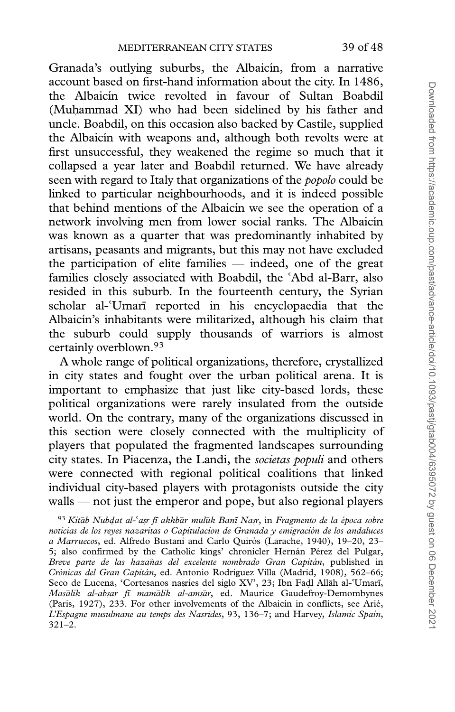Granada's outlying suburbs, the Albaicín, from a narrative account based on first-hand information about the city. In 1486, the Albaicín twice revolted in favour of Sultan Boabdil (Muhammad XI) who had been sidelined by his father and uncle. Boabdil, on this occasion also backed by Castile, supplied the Albaicín with weapons and, although both revolts were at first unsuccessful, they weakened the regime so much that it collapsed a year later and Boabdil returned. We have already seen with regard to Italy that organizations of the popolo could be linked to particular neighbourhoods, and it is indeed possible that behind mentions of the Albaicín we see the operation of a network involving men from lower social ranks. The Albaicín was known as a quarter that was predominantly inhabited by artisans, peasants and migrants, but this may not have excluded the participation of elite families — indeed, one of the great families closely associated with Boabdil, the 'Abd al-Barr, also families closely associated with Boabdil, the 'Abd al-Barr, also<br>resided in this suburb. In the fourteenth century, the Syrian scholar al-'Umari reported in his encyclopaedia that the scholar al-ʿUmarī reported in his encyclopaedia that the<br>Albaicín's inhabitants were militarized, although his claim that the suburb could supply thousands of warriors is almost certainly overblown.93

A whole range of political organizations, therefore, crystallized in city states and fought over the urban political arena. It is important to emphasize that just like city-based lords, these political organizations were rarely insulated from the outside world. On the contrary, many of the organizations discussed in this section were closely connected with the multiplicity of players that populated the fragmented landscapes surrounding city states. In Piacenza, the Landi, the societas populi and others were connected with regional political coalitions that linked individual city-based players with protagonists outside the city walls — not just the emperor and pope, but also regional players

<sup>93</sup> Kitāb Nubdat al-ʿaṣr fī akhbār mulūk Banī Naṣr, in Fragmento de la época sobre <sup>93</sup> Kitāb Nubdat al-ʿaṣr fī akhbār mulūk Banī Naṣr, in Fragmento de la época sobre<br>noticias de los reyes nazaritas o Capitulacion de Granada y emigración de los andaluces a Marruecos, ed. Alfredo Bustani and Carlo Quirós (Larache, 1940), 19-20, 23-5; also confirmed by the Catholic kings' chronicler Hernán Pérez del Pulgar, Breve parte de las hazañas del excelente nombrado Gran Capitán, published in Crónicas del Gran Capitán, ed. Antonio Rodríguez Villa (Madrid, 1908), 562–66; Seco de Lucena, 'Cortesanos nașríes del siglo XV', 23; Ibn Fadl Allāh al-Seco de Lucena, 'Cortesanos naṣríes del siglo XV', 23; Ibn Faḍl Allāh al-ʿUmarī,<br>*Masālik al-abṣar fī mamālik al-amṣār*, ed. Maurice Gaudefroy-Demombynes (Paris, 1927), 233. For other involvements of the Albaicín in conflicts, see Arié, L'Espagne musulmane au temps des Nasrides, 93, 136–7; and Harvey, Islamic Spain, 321–2.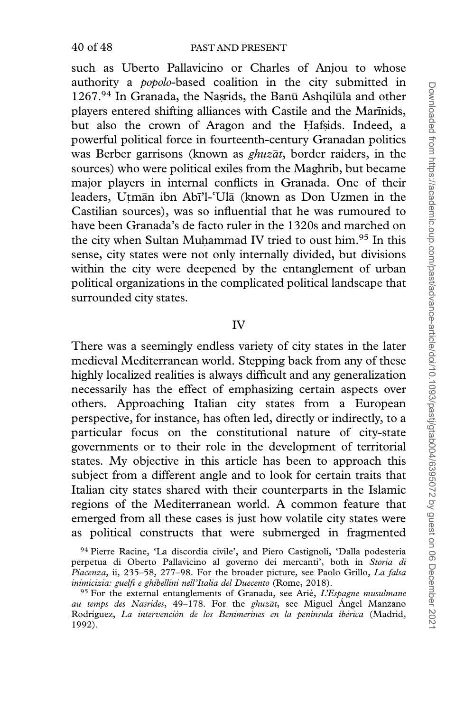such as Uberto Pallavicino or Charles of Anjou to whose authority a *popolo*-based coalition in the city submitted in 1267.94 In Granada, the Nasrids, the Banū Ashqilula and other players entered shifting alliances with Castile and the Marinids, but also the crown of Aragon and the Hafsids. Indeed, a powerful political force in fourteenth-century Granadan politics was Berber garrisons (known as *ghuzāt*, border raiders, in the sources) who were political exiles from the Maghrib, but became major players in internal conflicts in Granada. One of their leaders, Utmān ibn Abī'l-ʿUlā (known as Don Uzmen in the leaders, Uṭmān ibn Abī'l-ʿUlā (known as Don Uzmen in the<br>Castilian sources), was so influential that he was rumoured to have been Granada's de facto ruler in the 1320s and marched on the city when Sultan Muhammad IV tried to oust him.<sup>95</sup> In this sense, city states were not only internally divided, but divisions within the city were deepened by the entanglement of urban political organizations in the complicated political landscape that surrounded city states.

# IV

There was a seemingly endless variety of city states in the later medieval Mediterranean world. Stepping back from any of these highly localized realities is always difficult and any generalization necessarily has the effect of emphasizing certain aspects over others. Approaching Italian city states from a European perspective, for instance, has often led, directly or indirectly, to a particular focus on the constitutional nature of city-state governments or to their role in the development of territorial states. My objective in this article has been to approach this subject from a different angle and to look for certain traits that Italian city states shared with their counterparts in the Islamic regions of the Mediterranean world. A common feature that emerged from all these cases is just how volatile city states were as political constructs that were submerged in fragmented

<sup>94</sup> Pierre Racine, 'La discordia civile', and Piero Castignoli, 'Dalla podesteria perpetua di Oberto Pallavicino al governo dei mercanti', both in Storia di Piacenza, ii, 235–58, 277–98. For the broader picture, see Paolo Grillo, La falsa inimicizia: guelfi e ghibellini nell'Italia del Duecento (Rome, 2018).

 $95$  For the external entanglements of Granada, see Arié, *L'Espagne musulmane* au temps des Nasrides, 49-178. For the ghuzat, see Miguel Angel Manzano Rodríguez, La intervención de los Benimerines en la península íbérica (Madrid, 1992).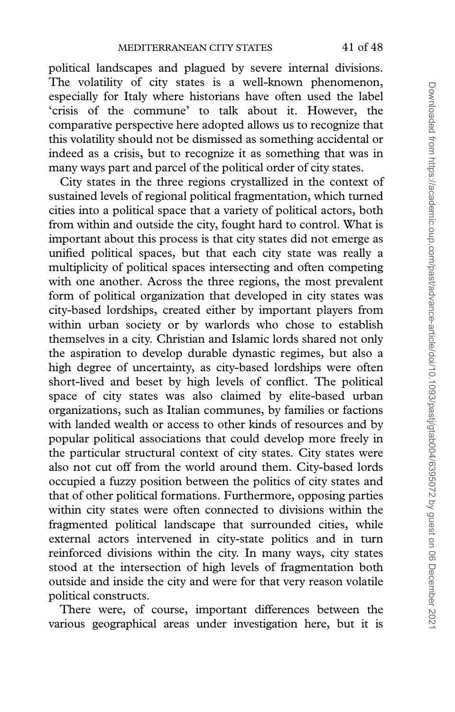political landscapes and plagued by severe internal divisions. The volatility of city states is a well-known phenomenon, especially for Italy where historians have often used the label 'crisis of the commune' to talk about it. However, the comparative perspective here adopted allows us to recognize that this volatility should not be dismissed as something accidental or indeed as a crisis, but to recognize it as something that was in many ways part and parcel of the political order of city states.

City states in the three regions crystallized in the context of sustained levels of regional political fragmentation, which turned cities into a political space that a variety of political actors, both from within and outside the city, fought hard to control. What is important about this process is that city states did not emerge as unified political spaces, but that each city state was really a multiplicity of political spaces intersecting and often competing with one another. Across the three regions, the most prevalent form of political organization that developed in city states was city-based lordships, created either by important players from within urban society or by warlords who chose to establish themselves in a city. Christian and Islamic lords shared not only the aspiration to develop durable dynastic regimes, but also a high degree of uncertainty, as city-based lordships were often short-lived and beset by high levels of conflict. The political space of city states was also claimed by elite-based urban organizations, such as Italian communes, by families or factions with landed wealth or access to other kinds of resources and by popular political associations that could develop more freely in the particular structural context of city states. City states were also not cut off from the world around them. City-based lords occupied a fuzzy position between the politics of city states and that of other political formations. Furthermore, opposing parties within city states were often connected to divisions within the fragmented political landscape that surrounded cities, while external actors intervened in city-state politics and in turn reinforced divisions within the city. In many ways, city states stood at the intersection of high levels of fragmentation both outside and inside the city and were for that very reason volatile political constructs.

There were, of course, important differences between the various geographical areas under investigation here, but it is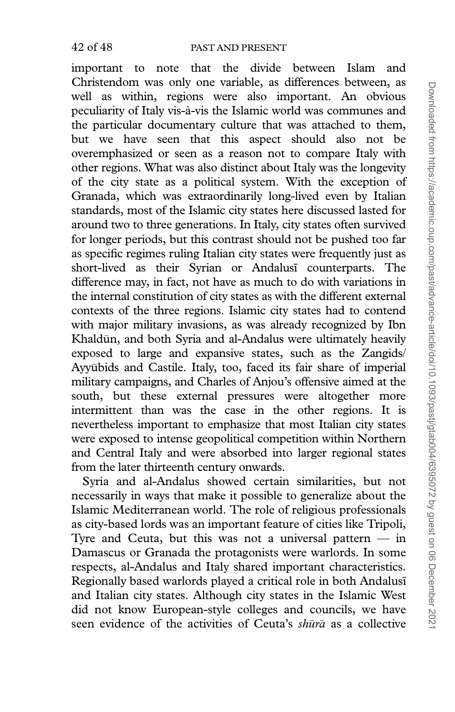important to note that the divide between Islam and Christendom was only one variable, as differences between, as well as within, regions were also important. An obvious peculiarity of Italy vis-à-vis the Islamic world was communes and the particular documentary culture that was attached to them, but we have seen that this aspect should also not be overemphasized or seen as a reason not to compare Italy with other regions. What was also distinct about Italy was the longevity of the city state as a political system. With the exception of Granada, which was extraordinarily long-lived even by Italian standards, most of the Islamic city states here discussed lasted for around two to three generations. In Italy, city states often survived for longer periods, but this contrast should not be pushed too far as specific regimes ruling Italian city states were frequently just as short-lived as their Syrian or Andalusi counterparts. The difference may, in fact, not have as much to do with variations in the internal constitution of city states as with the different external contexts of the three regions. Islamic city states had to contend with major military invasions, as was already recognized by Ibn Khaldūn, and both Syria and al-Andalus were ultimately heavily exposed to large and expansive states, such as the Zangids/ Ayyūbids and Castile. Italy, too, faced its fair share of imperial military campaigns, and Charles of Anjou's offensive aimed at the south, but these external pressures were altogether more intermittent than was the case in the other regions. It is nevertheless important to emphasize that most Italian city states were exposed to intense geopolitical competition within Northern and Central Italy and were absorbed into larger regional states from the later thirteenth century onwards.

Syria and al-Andalus showed certain similarities, but not necessarily in ways that make it possible to generalize about the Islamic Mediterranean world. The role of religious professionals as city-based lords was an important feature of cities like Tripoli, Tyre and Ceuta, but this was not a universal pattern  $-$  in Damascus or Granada the protagonists were warlords. In some respects, al-Andalus and Italy shared important characteristics. Regionally based warlords played a critical role in both Andalusi and Italian city states. Although city states in the Islamic West did not know European-style colleges and councils, we have seen evidence of the activities of Ceuta's shura as a collective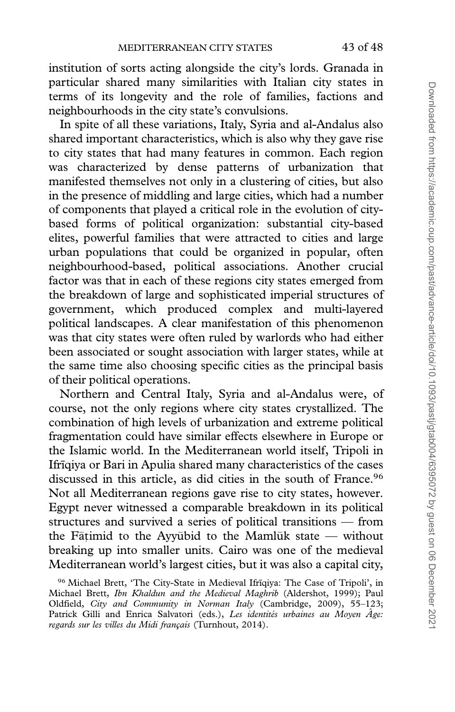institution of sorts acting alongside the city's lords. Granada in particular shared many similarities with Italian city states in terms of its longevity and the role of families, factions and neighbourhoods in the city state's convulsions.

In spite of all these variations, Italy, Syria and al-Andalus also shared important characteristics, which is also why they gave rise to city states that had many features in common. Each region was characterized by dense patterns of urbanization that manifested themselves not only in a clustering of cities, but also in the presence of middling and large cities, which had a number of components that played a critical role in the evolution of citybased forms of political organization: substantial city-based elites, powerful families that were attracted to cities and large urban populations that could be organized in popular, often neighbourhood-based, political associations. Another crucial factor was that in each of these regions city states emerged from the breakdown of large and sophisticated imperial structures of government, which produced complex and multi-layered political landscapes. A clear manifestation of this phenomenon was that city states were often ruled by warlords who had either been associated or sought association with larger states, while at the same time also choosing specific cities as the principal basis of their political operations.

Northern and Central Italy, Syria and al-Andalus were, of course, not the only regions where city states crystallized. The combination of high levels of urbanization and extreme political fragmentation could have similar effects elsewhere in Europe or the Islamic world. In the Mediterranean world itself, Tripoli in Ifrīqiya or Bari in Apulia shared many characteristics of the cases discussed in this article, as did cities in the south of France.<sup>96</sup> Not all Mediterranean regions gave rise to city states, however. Egypt never witnessed a comparable breakdown in its political structures and survived a series of political transitions — from the Fāṭimid to the Ayyūbid to the Mamlūk state — without breaking up into smaller units. Cairo was one of the medieval Mediterranean world's largest cities, but it was also a capital city,

<sup>&</sup>lt;sup>96</sup> Michael Brett, 'The City-State in Medieval Ifrīqiya: The Case of Tripoli', in Michael Brett, Ibn Khaldun and the Medieval Maghrib (Aldershot, 1999); Paul Oldfield, City and Community in Norman Italy (Cambridge, 2009), 55–123; Patrick Gilli and Enrica Salvatori (eds.), Les identités urbaines au Moyen Âge: regards sur les villes du Midi français (Turnhout, 2014).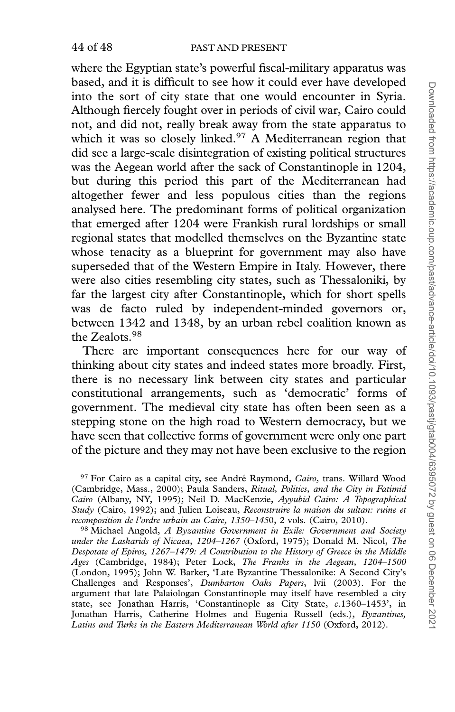where the Egyptian state's powerful fiscal-military apparatus was based, and it is difficult to see how it could ever have developed into the sort of city state that one would encounter in Syria. Although fiercely fought over in periods of civil war, Cairo could not, and did not, really break away from the state apparatus to which it was so closely linked.<sup>97</sup> A Mediterranean region that did see a large-scale disintegration of existing political structures was the Aegean world after the sack of Constantinople in 1204, but during this period this part of the Mediterranean had altogether fewer and less populous cities than the regions analysed here. The predominant forms of political organization that emerged after 1204 were Frankish rural lordships or small regional states that modelled themselves on the Byzantine state whose tenacity as a blueprint for government may also have superseded that of the Western Empire in Italy. However, there were also cities resembling city states, such as Thessaloniki, by far the largest city after Constantinople, which for short spells was de facto ruled by independent-minded governors or, between 1342 and 1348, by an urban rebel coalition known as the Zealots.98

There are important consequences here for our way of thinking about city states and indeed states more broadly. First, there is no necessary link between city states and particular constitutional arrangements, such as 'democratic' forms of government. The medieval city state has often been seen as a stepping stone on the high road to Western democracy, but we have seen that collective forms of government were only one part of the picture and they may not have been exclusive to the region

<sup>97</sup> For Cairo as a capital city, see André Raymond, Cairo, trans. Willard Wood (Cambridge, Mass., 2000); Paula Sanders, Ritual, Politics, and the City in Fatimid Cairo (Albany, NY, 1995); Neil D. MacKenzie, Ayyubid Cairo: A Topographical Study (Cairo, 1992); and Julien Loiseau, Reconstruire la maison du sultan: ruine et recomposition de l'ordre urbain au Caire, 1350–1450, 2 vols. (Cairo, 2010).

98 Michael Angold, A Byzantine Government in Exile: Government and Society under the Laskarids of Nicaea, 1204–1267 (Oxford, 1975); Donald M. Nicol, The Despotate of Epiros, 1267–1479: A Contribution to the History of Greece in the Middle Ages (Cambridge, 1984); Peter Lock, The Franks in the Aegean, 1204–1500 (London, 1995); John W. Barker, 'Late Byzantine Thessalonike: A Second City's Challenges and Responses', Dumbarton Oaks Papers, lvii (2003). For the argument that late Palaiologan Constantinople may itself have resembled a city state, see Jonathan Harris, 'Constantinople as City State, c.1360–1453', in Jonathan Harris, Catherine Holmes and Eugenia Russell (eds.), Byzantines, Latins and Turks in the Eastern Mediterranean World after 1150 (Oxford, 2012).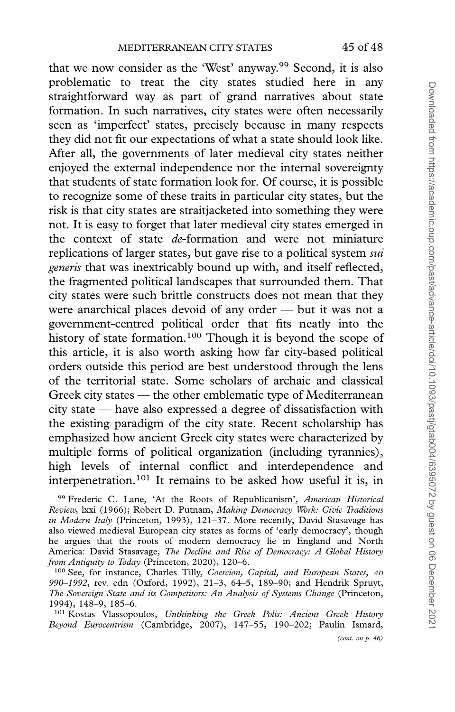that we now consider as the 'West' anyway.<sup>99</sup> Second, it is also problematic to treat the city states studied here in any straightforward way as part of grand narratives about state formation. In such narratives, city states were often necessarily seen as 'imperfect' states, precisely because in many respects they did not fit our expectations of what a state should look like. After all, the governments of later medieval city states neither enjoyed the external independence nor the internal sovereignty that students of state formation look for. Of course, it is possible to recognize some of these traits in particular city states, but the risk is that city states are straitjacketed into something they were not. It is easy to forget that later medieval city states emerged in the context of state *de*-formation and were not miniature replications of larger states, but gave rise to a political system *sui* generis that was inextricably bound up with, and itself reflected, the fragmented political landscapes that surrounded them. That city states were such brittle constructs does not mean that they were anarchical places devoid of any order — but it was not a government-centred political order that fits neatly into the history of state formation.<sup>100</sup> Though it is beyond the scope of this article, it is also worth asking how far city-based political orders outside this period are best understood through the lens of the territorial state. Some scholars of archaic and classical Greek city states — the other emblematic type of Mediterranean city state — have also expressed a degree of dissatisfaction with the existing paradigm of the city state. Recent scholarship has emphasized how ancient Greek city states were characterized by multiple forms of political organization (including tyrannies), high levels of internal conflict and interdependence and interpenetration.101 It remains to be asked how useful it is, in

<sup>99</sup> Frederic C. Lane, 'At the Roots of Republicanism', American Historical Review, lxxi (1966); Robert D. Putnam, Making Democracy Work: Civic Traditions in Modern Italy (Princeton, 1993), 121–37. More recently, David Stasavage has also viewed medieval European city states as forms of 'early democracy', though he argues that the roots of modern democracy lie in England and North America: David Stasavage, The Decline and Rise of Democracy: A Global History from Antiquity to Today (Princeton, 2020), 120-6.

<sup>100</sup> See, for instance, Charles Tilly, Coercion, Capital, and European States, AD 990–1992, rev. edn (Oxford, 1992), 21–3, 64–5, 189–90; and Hendrik Spruyt, The Sovereign State and its Competitors: An Analysis of Systems Change (Princeton, 1994), 148–9, 185–6.

<sup>101</sup> Kostas Vlassopoulos, Unthinking the Greek Polis: Ancient Greek History Beyond Eurocentrism (Cambridge, 2007), 147–55, 190–202; Paulin Ismard,

(cont. on p. 46)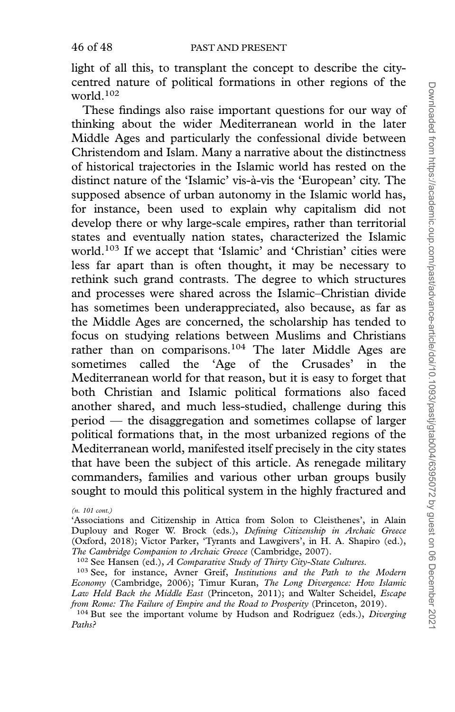light of all this, to transplant the concept to describe the citycentred nature of political formations in other regions of the world.102

These findings also raise important questions for our way of thinking about the wider Mediterranean world in the later Middle Ages and particularly the confessional divide between Christendom and Islam. Many a narrative about the distinctness of historical trajectories in the Islamic world has rested on the distinct nature of the 'Islamic' vis-à-vis the 'European' city. The supposed absence of urban autonomy in the Islamic world has, for instance, been used to explain why capitalism did not develop there or why large-scale empires, rather than territorial states and eventually nation states, characterized the Islamic world.103 If we accept that 'Islamic' and 'Christian' cities were less far apart than is often thought, it may be necessary to rethink such grand contrasts. The degree to which structures and processes were shared across the Islamic–Christian divide has sometimes been underappreciated, also because, as far as the Middle Ages are concerned, the scholarship has tended to focus on studying relations between Muslims and Christians rather than on comparisons.<sup>104</sup> The later Middle Ages are sometimes called the 'Age of the Crusades' in the Mediterranean world for that reason, but it is easy to forget that both Christian and Islamic political formations also faced another shared, and much less-studied, challenge during this period — the disaggregation and sometimes collapse of larger political formations that, in the most urbanized regions of the Mediterranean world, manifested itself precisely in the city states that have been the subject of this article. As renegade military commanders, families and various other urban groups busily sought to mould this political system in the highly fractured and

(n. 101 cont.)

<sup>102</sup> See Hansen (ed.), *A Comparative Study of Thirty City-State Cultures.* 

 $104$  But see the important volume by Hudson and Rodríguez (eds.), Diverging Paths?

<sup>&#</sup>x27;Associations and Citizenship in Attica from Solon to Cleisthenes', in Alain Duplouy and Roger W. Brock (eds.), Defining Citizenship in Archaic Greece (Oxford, 2018); Victor Parker, 'Tyrants and Lawgivers', in H. A. Shapiro (ed.), The Cambridge Companion to Archaic Greece (Cambridge, 2007).

<sup>&</sup>lt;sup>103</sup> See, for instance, Avner Greif, *Institutions and the Path to the Modern* Economy (Cambridge, 2006); Timur Kuran, The Long Divergence: How Islamic Law Held Back the Middle East (Princeton, 2011); and Walter Scheidel, Escape from Rome: The Failure of Empire and the Road to Prosperity (Princeton, 2019).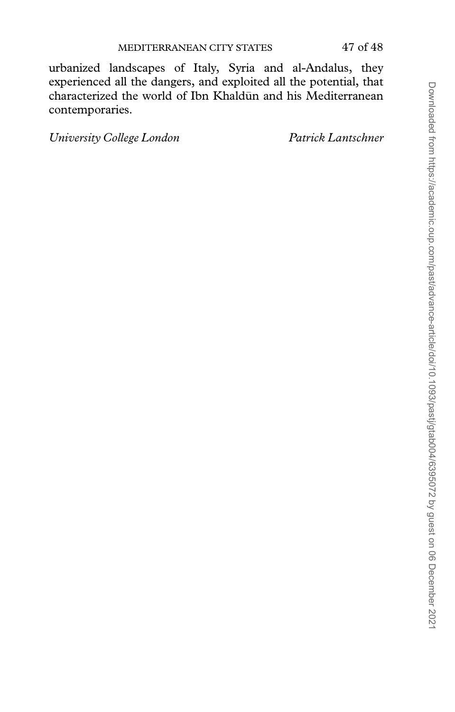urbanized landscapes of Italy, Syria and al-Andalus, they experienced all the dangers, and exploited all the potential, that characterized the world of Ibn Khaldūn and his Mediterranean contemporaries.

University College London Patrick Lantschner